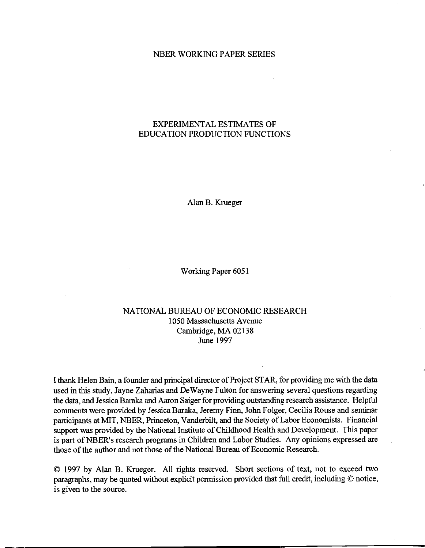### NBER WORKING PAPER SERIES

### EXPERIMENTAL ESTIMATES OF **EDUCATION PRODUCTION FUNCTIONS**

Alan B. Krueger

Working Paper 6051

### NATIONAL BUREAU OF ECONOMIC RESEARCH 1050 Massachusetts Avenue Cambridge, MA 02138 June 1997

I thank Helen Bain, a founder and principal director of Project STAR, for providing me with the data used in this study, Jayne Zaharias and DeWayne Fulton for answering several questions regarding the data, and Jessica Baraka and Aaron Saiger for providing outstanding research assistance. Helpful comments were provided by Jessica Baraka, Jeremy Finn, John Folger, Cecilia Rouse and seminar participants at MIT, NBER, Princeton, Vanderbilt, and the Society of Labor Economists. Financial support was provided by the National Institute of Childhood Health and Development. This paper is part of NBER's research programs in Children and Labor Studies. Any opinions expressed are those of the author and not those of the National Bureau of Economic Research.

© 1997 by Alan B. Krueger. All rights reserved. Short sections of text, not to exceed two paragraphs, may be quoted without explicit permission provided that full credit, including © notice, is given to the source.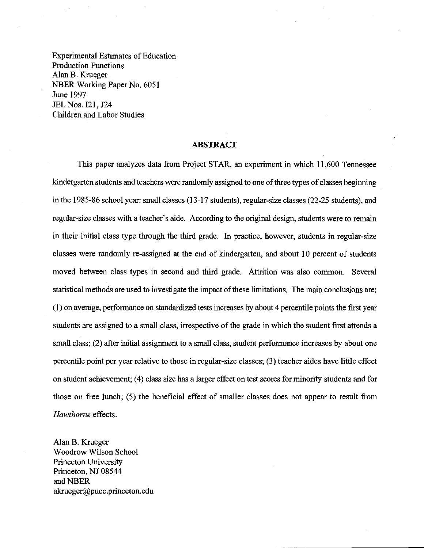**Experimental Estimates of Education Production Functions** Alan B. Krueger NBER Working Paper No. 6051 June 1997 JEL Nos. 121, J24 Children and Labor Studies

### **ABSTRACT**

This paper analyzes data from Project STAR, an experiment in which 11,600 Tennessee kinder garten students and teachers were randomly assigned to one of three types of classes beginning in the 1985-86 school year: small classes (13-17 students), regular-size classes (22-25 students), and regular-size classes with a teacher's aide. According to the original design, students were to remain in their initial class type through the third grade. In practice, however, students in regular-size classes were randomly re-assigned at the end of kindergarten, and about 10 percent of students moved between class types in second and third grade. Attrition was also common. Several statistical methods are used to investigate the impact of these limitations. The main conclusions are: (1) on average, performance on standardized tests increases by about 4 percentile points the first year students are assigned to a small class, irrespective of the grade in which the student first attends a small class; (2) after initial assignment to a small class, student performance increases by about one percentile point per year relative to those in regular-size classes; (3) teacher aides have little effect on student achievement; (4) class size has a larger effect on test scores for minority students and for those on free lunch; (5) the beneficial effect of smaller classes does not appear to result from Hawthorne effects.

Alan B. Krueger Woodrow Wilson School Princeton University Princeton, NJ 08544 and NBER  $akrueger(\omega pucc.princeton.edu)$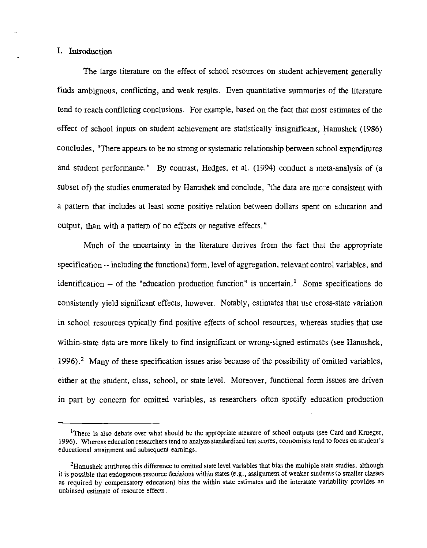### I. Introduction

The large literature on the effect of school resources on student achievement generally finds ambiguous, conflicting, and weak results. Even quantitative summaries of the literature tend to reach conflicting conclusions. For example, based on the fact that most estimates of the effect of school inputs on student achievement are statistically insignificant, Hanushek (1986) concludes, "There appears to be no strong or systematic relationship between school expenditures and student performance." By contrast, Hedges, et al. (1994) conduct a meta-analysis of (a subset of) the studies enumerated by Hanushek and conclude. "the data are more consistent with a pattern that includes at least some positive relation between dollars spent on education and output, than with a pattern of no effects or negative effects."

Much of the uncertainty in the literature derives from the fact that the appropriate specification -- including the functional form, level of aggregation, relevant control variables, and identification  $-$  of the "education production function" is uncertain.<sup>1</sup> Some specifications do consistently yield significant effects, however. Notably, estimates that use cross-state variation in school resources typically find positive effects of school resources, whereas studies that use within-state data are more likely to find insignificant or wrong-signed estimates (see Hanushek, 1996).<sup>2</sup> Many of these specification issues arise because of the possibility of omitted variables, either at the student, class, school, or state level. Moreover, functional form issues are driven in part by concern for omitted variables, as researchers often specify education production

<sup>&</sup>lt;sup>1</sup>There is also debate over what should be the appropriate measure of school outputs (see Card and Krueger, 1996). Whereas education researchers tend to analyze standardized test scores, economists tend to focus on student's educational attainment and subsequent earnings.

<sup>&</sup>lt;sup>2</sup>Hanushek attributes this difference to omitted state level variables that bias the multiple state studies, although it is possible that endogenous resource decisions within states (e.g., assignment of weaker students to smaller classes as required by compensatory education) bias the within state estimates and the interstate variability provides an unbiased estimate of resource effects.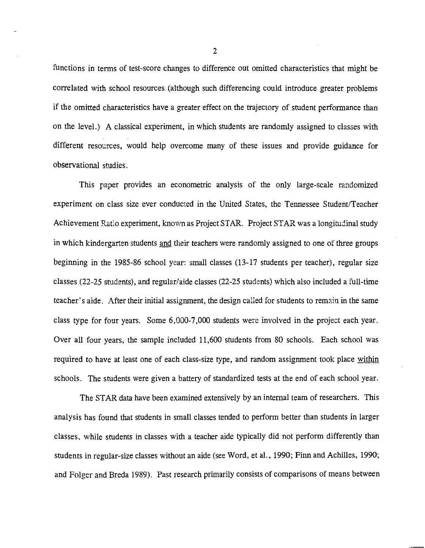functions in terms of test-score changes to difference out omitted characteristics that might be correlated with school resources (although such differencing could introduce greater problems if the omitted characteristics have a greater effect on the trajectory of student performance than on the level.) A classical experiment, in which students are randomly assigned to classes with different resources, would help overcome many of these issues and provide guidance for observational studies.

This paper provides an econometric analysis of the only large-scale randomized experiment on class size ever conducted in the United States, the Tennessee Student/Teacher Achievement Ratio experiment, known as Project STAR. Project STAR was a longitudinal study in which kindergarten students and their teachers were randomly assigned to one of three groups beginning in the 1985-86 school year: small classes (13-17 students per teacher), regular size classes (22-25 students), and regular/aide classes (22-25 students) which also included a full-time teacher's aide. After their initial assignment, the design called for students to remain in the same class type for four years. Some 6,000-7,000 students were involved in the project each year. Over all four years, the sample included 11,600 students from 80 schools. Each school was required to have at least one of each class-size type, and random assignment took place within schools. The students were given a battery of standardized tests at the end of each school year.

The STAR data have been examined extensively by an internal team of researchers. This analysis has found that students in small classes tended to perform better than students in larger classes, while students in classes with a teacher aide typically did not perform differently than students in regular-size classes without an aide (see Word, et al., 1990; Finn and Achilles, 1990; and Folger and Breda 1989). Past research primarily consists of comparisons of means between

 $\overline{2}$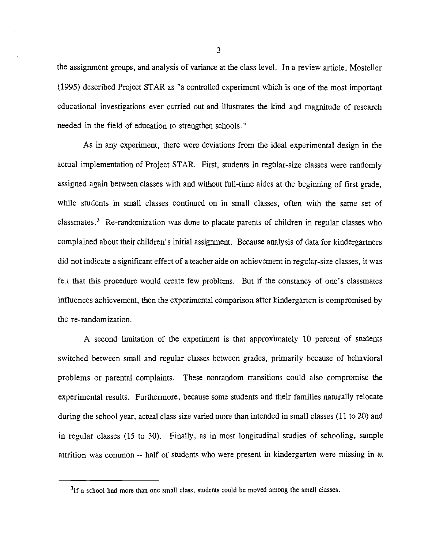the assignment groups, and analysis of variance at the class level. In a review article, Mosteller (1995) described Project STAR as "a controlled experiment which is one of the most important educational investigations ever carried out and illustrates the kind and magnitude of research needed in the field of education to strengthen schools."

As in any experiment, there were deviations from the ideal experimental design in the actual implementation of Project STAR. First, students in regular-size classes were randomly assigned again between classes with and without full-time aides at the beginning of first grade. while students in small classes continued on in small classes, often with the same set of classmates.<sup>3</sup> Re-randomization was done to placate parents of children in regular classes who complained about their children's initial assignment. Because analysis of data for kindergartners did not indicate a significant effect of a teacher aide on achievement in regular-size classes, it was fell that this procedure would create few problems. But if the constancy of one's classmates influences achievement, then the experimental comparison after kindergarten is compromised by the re-randomization.

A second limitation of the experiment is that approximately 10 percent of students switched between small and regular classes between grades, primarily because of behavioral problems or parental complaints. These nonrandom transitions could also compromise the experimental results. Furthermore, because some students and their families naturally relocate during the school year, actual class size varied more than intended in small classes (11 to 20) and in regular classes (15 to 30). Finally, as in most longitudinal studies of schooling, sample attrition was common -- half of students who were present in kindergarten were missing in at

<sup>&</sup>lt;sup>3</sup>If a school had more than one small class, students could be moved among the small classes.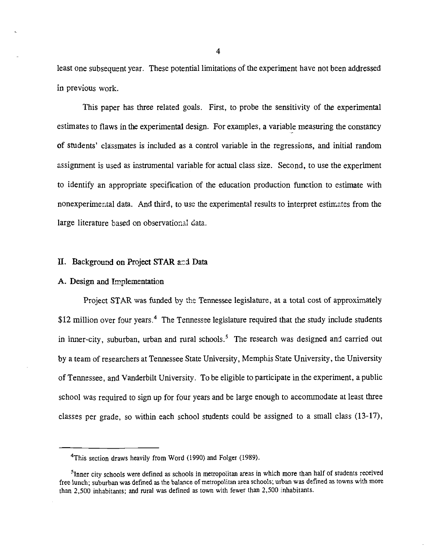least one subsequent year. These potential limitations of the experiment have not been addressed in previous work.

This paper has three related goals. First, to probe the sensitivity of the experimental estimates to flaws in the experimental design. For examples, a variable measuring the constancy of students' classmates is included as a control variable in the regressions, and initial random assignment is used as instrumental variable for actual class size. Second, to use the experiment to identify an appropriate specification of the education production function to estimate with nonexperimental data. And third, to use the experimental results to interpret estimates from the large literature based on observational data.

### II. Background on Project STAR and Data

### A. Design and Implementation

Project STAR was funded by the Tennessee legislature, at a total cost of approximately \$12 million over four years.<sup>4</sup> The Tennessee legislature required that the study include students in inner-city, suburban, urban and rural schools.<sup>5</sup> The research was designed and carried out by a team of researchers at Tennessee State University, Memphis State University, the University of Tennessee, and Vanderbilt University. To be eligible to participate in the experiment, a public school was required to sign up for four years and be large enough to accommodate at least three classes per grade, so within each school students could be assigned to a small class (13-17),

<sup>&</sup>lt;sup>4</sup>This section draws heavily from Word (1990) and Folger (1989).

<sup>&</sup>lt;sup>5</sup>Inner city schools were defined as schools in metropolitan areas in which more than half of students received free lunch; suburban was defined as the balance of metropolitan area schools; urban was defined as towns with more than 2,500 inhabitants; and rural was defined as town with fewer than 2,500 inhabitants.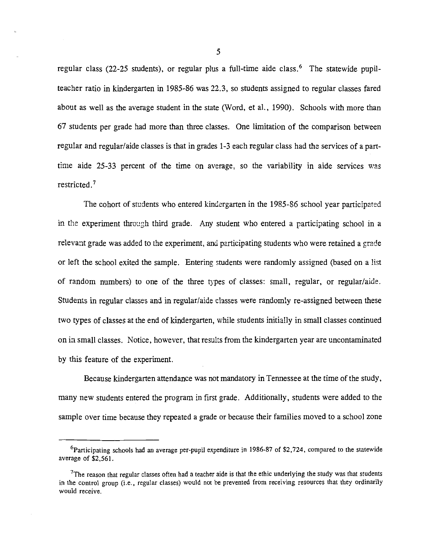regular class (22-25 students), or regular plus a full-time aide class.<sup>6</sup> The statewide pupilteacher ratio in kindergarten in 1985-86 was 22.3, so students assigned to regular classes fared about as well as the average student in the state (Word, et al., 1990). Schools with more than 67 students per grade had more than three classes. One limitation of the comparison between regular and regular/aide classes is that in grades 1-3 each regular class had the services of a parttime aide 25-33 percent of the time on average, so the variability in aide services was restricted. $7$ 

The cohort of students who entered kindergarten in the 1985-86 school year participated in the experiment through third grade. Any student who entered a participating school in a relevant grade was added to the experiment, and participating students who were retained a grade or left the school exited the sample. Entering students were randomly assigned (based on a list of random numbers) to one of the three types of classes: small, regular, or regular/aide. Students in regular classes and in regular/aide classes were randomly re-assigned between these two types of classes at the end of kindergarten, while students initially in small classes continued on in small classes. Notice, however, that results from the kinder garten year are uncontaminated by this feature of the experiment.

Because kindergarten attendance was not mandatory in Tennessee at the time of the study, many new students entered the program in first grade. Additionally, students were added to the sample over time because they repeated a grade or because their families moved to a school zone

5

 ${}^{6}$ Participating schools had an average per-pupil expenditure in 1986-87 of \$2,724, compared to the statewide average of \$2.561.

 $7$ The reason that regular classes often had a teacher aide is that the ethic underlying the study was that students in the control group (i.e., regular classes) would not be prevented from receiving resources that they ordinarily would receive.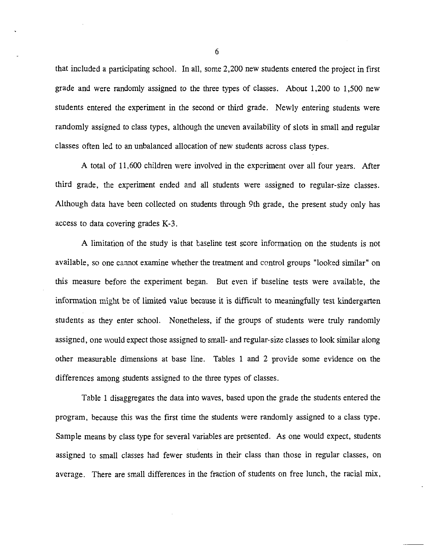that included a participating school. In all, some 2,200 new students entered the project in first grade and were randomly assigned to the three types of classes. About 1,200 to 1,500 new students entered the experiment in the second or third grade. Newly entering students were randomly assigned to class types, although the uneven availability of slots in small and regular classes often led to an unbalanced allocation of new students across class types.

A total of 11,600 children were involved in the experiment over all four years. After third grade, the experiment ended and all students were assigned to regular-size classes. Although data have been collected on students through 9th grade, the present study only has access to data covering grades K-3.

A limitation of the study is that baseline test score information on the students is not available, so one cannot examine whether the treatment and control groups "looked similar" on this measure before the experiment began. But even if baseline tests were available, the information might be of limited value because it is difficult to meaningfully test kindergarten students as they enter school. Nonetheless, if the groups of students were truly randomly assigned, one would expect those assigned to small- and regular-size classes to look similar along other measurable dimensions at base line. Tables 1 and 2 provide some evidence on the differences among students assigned to the three types of classes.

Table 1 disaggregates the data into waves, based upon the grade the students entered the program, because this was the first time the students were randomly assigned to a class type. Sample means by class type for several variables are presented. As one would expect, students assigned to small classes had fewer students in their class than those in regular classes, on average. There are small differences in the fraction of students on free lunch, the racial mix,

6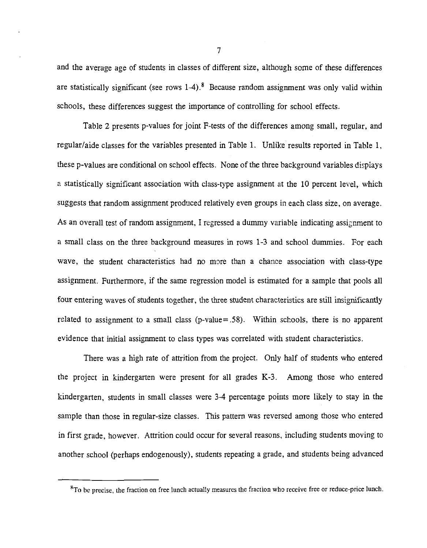and the average age of students in classes of different size, although some of these differences are statistically significant (see rows  $1-4$ ).<sup>8</sup> Because random assignment was only valid within schools, these differences suggest the importance of controlling for school effects.

Table 2 presents p-values for joint F-tests of the differences among small, regular, and regular/aide classes for the variables presented in Table 1. Unlike results reported in Table 1, these p-values are conditional on school effects. None of the three background variables displays a statistically significant association with class-type assignment at the 10 percent level, which suggests that random assignment produced relatively even groups in each class size, on average. As an overall test of random assignment, I regressed a dummy variable indicating assignment to a small class on the three background measures in rows 1-3 and school dummies. For each wave, the student characteristics had no more than a chance association with class-type assignment. Furthermore, if the same regression model is estimated for a sample that pools all four entering waves of students together, the three student characteristics are still insignificantly related to assignment to a small class (p-value  $= .58$ ). Within schools, there is no apparent evidence that initial assignment to class types was correlated with student characteristics.

There was a high rate of attrition from the project. Only half of students who entered the project in kindergarten were present for all grades K-3. Among those who entered kindergarten, students in small classes were 3-4 percentage points more likely to stay in the sample than those in regular-size classes. This pattern was reversed among those who entered in first grade, however. Attrition could occur for several reasons, including students moving to another school (perhaps endogenously), students repeating a grade, and students being advanced

 $\overline{7}$ 

<sup>&</sup>lt;sup>8</sup>To be precise, the fraction on free lunch actually measures the fraction who receive free or reduce-price lunch.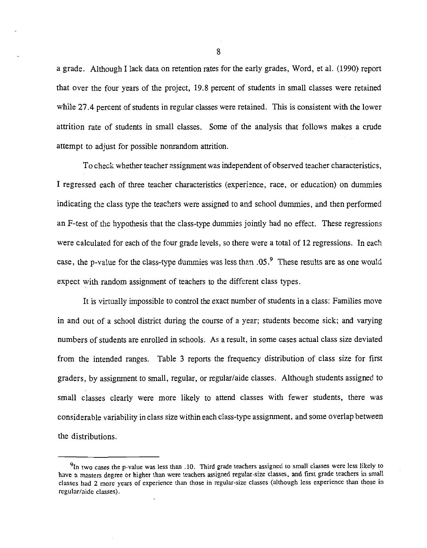a grade. Although I lack data on retention rates for the early grades, Word, et al. (1990) report that over the four years of the project, 19.8 percent of students in small classes were retained while 27.4 percent of students in regular classes were retained. This is consistent with the lower attrition rate of students in small classes. Some of the analysis that follows makes a crude attempt to adjust for possible nonrandom attrition.

To check whether teacher assignment was independent of observed teacher characteristics, I regressed each of three teacher characteristics (experience, race, or education) on dummies indicating the class type the teachers were assigned to and school dummies, and then performed an F-test of the hypothesis that the class-type dummies jointly had no effect. These regressions were calculated for each of the four grade levels, so there were a total of 12 regressions. In each case, the p-value for the class-type dummies was less than .05.<sup>9</sup> These results are as one would expect with random assignment of teachers to the different class types.

It is virtually impossible to control the exact number of students in a class: Families move in and out of a school district during the course of a year; students become sick; and varying numbers of students are enrolled in schools. As a result, in some cases actual class size deviated from the intended ranges. Table 3 reports the frequency distribution of class size for first graders, by assignment to small, regular, or regular/aide classes. Although students assigned to small classes clearly were more likely to attend classes with fewer students, there was considerable variability in class size within each class-type assignment, and some overlap between the distributions.

8

<sup>&</sup>lt;sup>9</sup>In two cases the p-value was less than .10. Third grade teachers assigned to small classes were less likely to have a masters degree or higher than were teachers assigned regular-size classes, and first grade teachers in small classes had 2 more years of experience than those in regular-size classes (although less experience than those in regular/aide classes).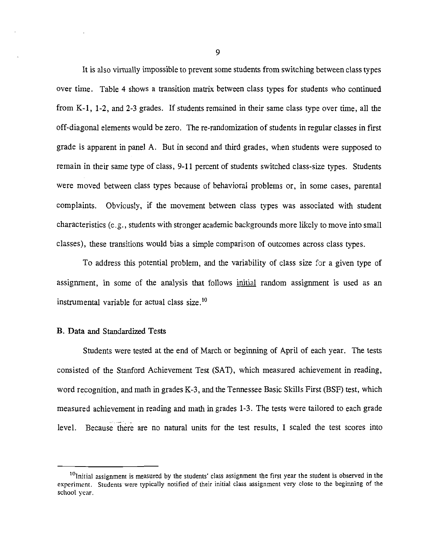It is also virtually impossible to prevent some students from switching between class types over time. Table 4 shows a transition matrix between class types for students who continued from K-1, 1-2, and 2-3 grades. If students remained in their same class type over time, all the off-diagonal elements would be zero. The re-randomization of students in regular classes in first grade is apparent in panel A. But in second and third grades, when students were supposed to remain in their same type of class, 9-11 percent of students switched class-size types. Students were moved between class types because of behavioral problems or, in some cases, parental complaints. Obviously, if the movement between class types was associated with student characteristics (e.g., students with stronger academic backgrounds more likely to move into small classes), these transitions would bias a simple comparison of outcomes across class types.

To address this potential problem, and the variability of class size for a given type of assignment, in some of the analysis that follows initial random assignment is used as an instrumental variable for actual class size.<sup>10</sup>

### B. Data and Standardized Tests

Students were tested at the end of March or beginning of April of each year. The tests consisted of the Stanford Achievement Test (SAT), which measured achievement in reading, word recognition, and math in grades K-3, and the Tennessee Basic Skills First (BSF) test, which measured achievement in reading and math in grades 1-3. The tests were tailored to each grade level. Because there are no natural units for the test results, I scaled the test scores into

<sup>&</sup>lt;sup>10</sup>Initial assignment is measured by the students' class assignment the first year the student is observed in the experiment. Students were typically notified of their initial class assignment very close to the beginning of the school year.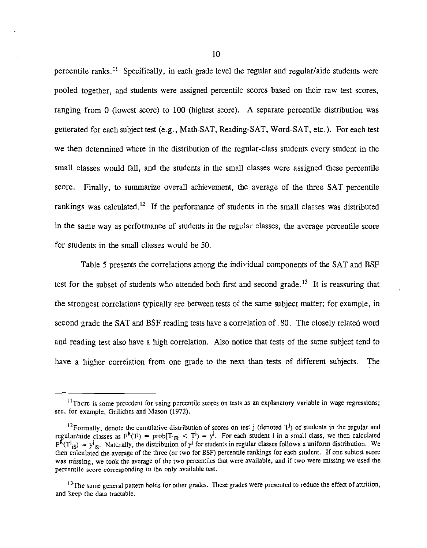percentile ranks.<sup>11</sup> Specifically, in each grade level the regular and regular/aide students were pooled together, and students were assigned percentile scores based on their raw test scores, ranging from 0 (lowest score) to 100 (highest score). A separate percentile distribution was generated for each subject test (e.g., Math-SAT, Reading-SAT, Word-SAT, etc.). For each test we then determined where in the distribution of the regular-class students every student in the small classes would fall, and the students in the small classes were assigned these percentile score. Finally, to summarize overall achievement, the average of the three SAT percentile rankings was calculated.<sup>12</sup> If the performance of students in the small classes was distributed in the same way as performance of students in the regular classes, the average percentile score for students in the small classes would be 50.

Table 5 presents the correlations among the individual components of the SAT and BSF test for the subset of students who attended both first and second grade.<sup>13</sup> It is reassuring that the strongest correlations typically are between tests of the same subject matter; for example, in second grade the SAT and BSF reading tests have a correlation of .80. The closely related word and reading test also have a high correlation. Also notice that tests of the same subject tend to have a higher correlation from one grade to the next than tests of different subjects. The

<sup>&</sup>lt;sup>11</sup>There is some precedent for using percentile scores on tests as an explanatory variable in wage regressions; see, for example, Griliches and Mason (1972).

<sup>&</sup>lt;sup>12</sup>Formally, denote the cumulative distribution of scores on test j (denoted T<sup>j</sup>) of students in the regular and regular/aide classes as  $F^{R}(T^{j}) = prob(T^{j}_{iR} < T^{j}) = y^{j}$ . For each student i in a small class, we then calcul then calculated the average of the three (or two for BSF) percentile rankings for each student. If one subtest score was missing, we took the average of the two percentiles that were available, and if two were missing we used the percentile score corresponding to the only available test.

<sup>&</sup>lt;sup>13</sup>The same general pattern holds for other grades. These grades were presented to reduce the effect of attrition, and keep the data tractable.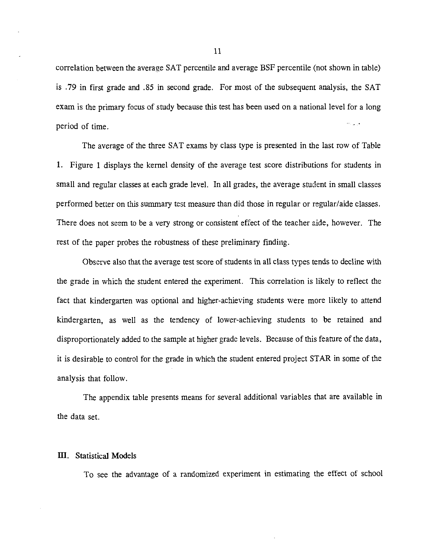correlation between the average SAT percentile and average BSF percentile (not shown in table) is .79 in first grade and .85 in second grade. For most of the subsequent analysis, the SAT exam is the primary focus of study because this test has been used on a national level for a long period of time.

The average of the three SAT exams by class type is presented in the last row of Table 1. Figure 1 displays the kernel density of the average test score distributions for students in small and regular classes at each grade level. In all grades, the average student in small classes performed better on this summary test measure than did those in regular or regular/aide classes. There does not seem to be a very strong or consistent effect of the teacher aide, however. The rest of the paper probes the robustness of these preliminary finding.

Observe also that the average test score of students in all class types tends to decline with the grade in which the student entered the experiment. This correlation is likely to reflect the fact that kindergarten was optional and higher-achieving students were more likely to attend kindergarten, as well as the tendency of lower-achieving students to be retained and disproportionately added to the sample at higher grade levels. Because of this feature of the data, it is desirable to control for the grade in which the student entered project STAR in some of the analysis that follow.

The appendix table presents means for several additional variables that are available in the data set.

#### III. Statistical Models

To see the advantage of a randomized experiment in estimating the effect of school

 $11$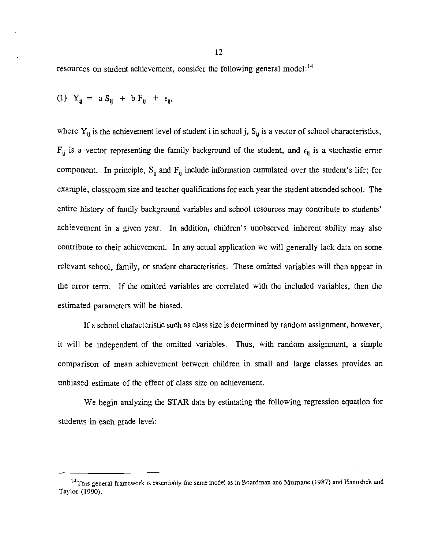resources on student achievement, consider the following general model:<sup>14</sup>

$$
(1) Y_{ij} = a S_{ji} + b F_{ij} + \epsilon_{ji},
$$

where  $Y_{ij}$  is the achievement level of student i in school j,  $S_{ij}$  is a vector of school characteristics,  $F_{ij}$  is a vector representing the family background of the student, and  $\epsilon_{ij}$  is a stochastic error component. In principle,  $S_{ii}$  and  $F_{ii}$  include information cumulated over the student's life; for example, classroom size and teacher qualifications for each year the student attended school. The entire history of family background variables and school resources may contribute to students' achievement in a given year. In addition, children's unobserved inherent ability may also contribute to their achievement. In any actual application we will generally lack data on some relevant school, family, or student characteristics. These omitted variables will then appear in the error term. If the omitted variables are correlated with the included variables, then the estimated parameters will be biased.

If a school characteristic such as class size is determined by random assignment, however, it will be independent of the omitted variables. Thus, with random assignment, a simple comparison of mean achievement between children in small and large classes provides an unbiased estimate of the effect of class size on achievement.

We begin analyzing the STAR data by estimating the following regression equation for students in each grade level:

<sup>&</sup>lt;sup>14</sup>This general framework is essentially the same model as in Boardman and Murnane (1987) and Hanushek and Taylor (1990).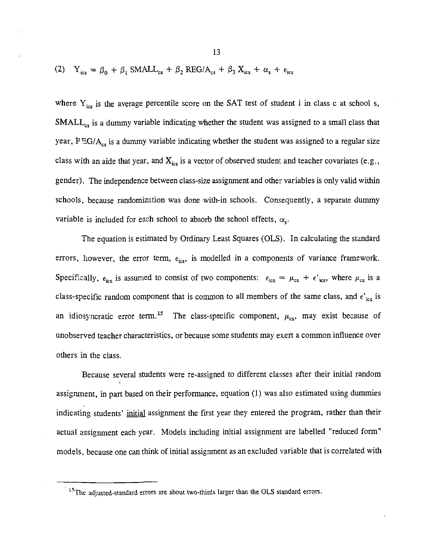(2) 
$$
Y_{ics} = \beta_0 + \beta_1 \text{ SMALL}_{cs} + \beta_2 \text{ REG}/A_{cs} + \beta_3 X_{ics} + \alpha_s + \epsilon_{ics}
$$

where  $Y_{ics}$  is the average percentile score on the SAT test of student i in class c at school s, SMALL<sub>cs</sub> is a dummy variable indicating whether the student was assigned to a small class that year,  $PEG/A_{cs}$  is a dummy variable indicating whether the student was assigned to a regular size class with an aide that year, and  $X_{ics}$  is a vector of observed student and teacher covariates (e.g., gender). The independence between class-size assignment and other variables is only valid within schools, because randomization was done with-in schools. Consequently, a separate dummy variable is included for each school to absorb the school effects,  $\alpha_s$ .

The equation is estimated by Ordinary Least Squares (OLS). In calculating the standard errors, however, the error term,  $\epsilon_{\text{ics}}$ , is modelled in a components of variance framework. Specifically,  $\epsilon_{\text{ics}}$  is assumed to consist of two components:  $\epsilon_{\text{ics}} = \mu_{\text{cs}} + \epsilon'_{\text{ics}}$ , where  $\mu_{\text{cs}}$  is a class-specific random component that is common to all members of the same class, and  $\epsilon'_{\text{ics}}$  is an idiosyncratic error term.<sup>15</sup> The class-specific component,  $\mu_{cs}$ , may exist because of unobserved teacher characteristics, or because some students may exert a common influence over others in the class.

Because several students were re-assigned to different classes after their initial random assignment, in part based on their performance, equation (1) was also estimated using dummies indicating students' initial assignment the first year they entered the program, rather than their actual assignment each year. Models including initial assignment are labelled "reduced form" models, because one can think of initial assignment as an excluded variable that is correlated with

<sup>&</sup>lt;sup>15</sup>The adjusted-standard errors are about two-thirds larger than the OLS standard errors.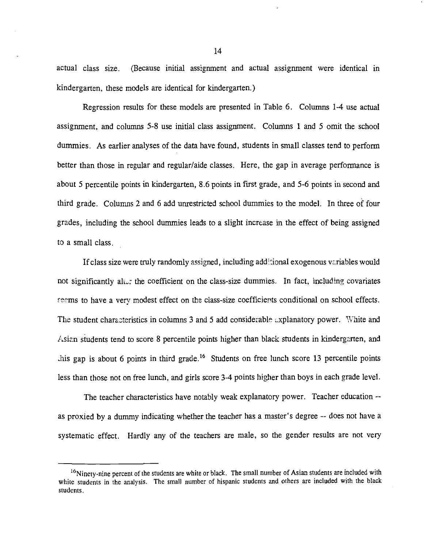actual class size. (Because initial assignment and actual assignment were identical in kindergarten, these models are identical for kindergarten.)

Regression results for these models are presented in Table 6. Columns 1-4 use actual assignment, and columns 5-8 use initial class assignment. Columns 1 and 5 omit the school dummies. As earlier analyses of the data have found, students in small classes tend to perform better than those in regular and regular/aide classes. Here, the gap in average performance is about 5 percentile points in kindergarten, 8.6 points in first grade, and 5-6 points in second and third grade. Columns 2 and 6 add unrestricted school dummies to the model. In three of four grades, including the school dummies leads to a slight increase in the effect of being assigned to a small class

If class size were truly randomly assigned, including additional exogenous variables would not significantly alter the coefficient on the class-size dummies. In fact, including covariates seems to have a very modest effect on the class-size coefficients conditional on school effects. The student characteristics in columns 3 and 5 add considerable explanatory power. White and Asian students tend to score 8 percentile points higher than black students in kindergarten, and this gap is about 6 points in third grade.<sup>16</sup> Students on free lunch score 13 percentile points less than those not on free lunch, and girls score 3-4 points higher than boys in each grade level.

The teacher characteristics have notably weak explanatory power. Teacher education -as proxied by a dummy indicating whether the teacher has a master's degree -- does not have a systematic effect. Hardly any of the teachers are male, so the gender results are not very

<sup>&</sup>lt;sup>16</sup>Ninety-nine percent of the students are white or black. The small number of Asian students are included with white students in the analysis. The small number of hispanic students and others are included with the black students.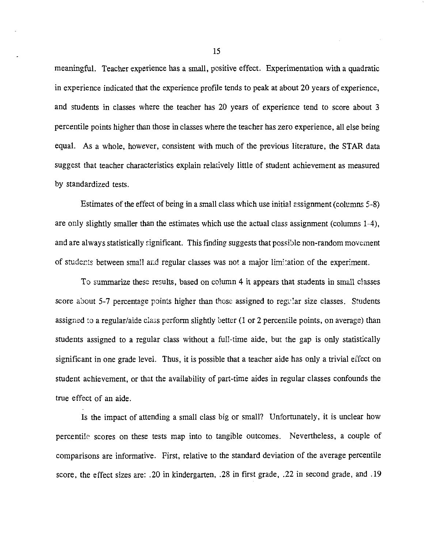meaningful. Teacher experience has a small, positive effect. Experimentation with a quadratic in experience indicated that the experience profile tends to peak at about 20 years of experience, and students in classes where the teacher has 20 years of experience tend to score about 3 percentile points higher than those in classes where the teacher has zero experience, all else being equal. As a whole, however, consistent with much of the previous literature, the STAR data suggest that teacher characteristics explain relatively little of student achievement as measured by standardized tests.

Estimates of the effect of being in a small class which use initial assignment (columns 5-8) are only slightly smaller than the estimates which use the actual class assignment (columns 1-4), and are always statistically significant. This finding suggests that possible non-random movement of students between small and regular classes was not a major limitation of the experiment.

To summarize these results, based on column 4 it appears that students in small classes score about 5-7 percentage points higher than those assigned to regular size classes. Students assigned to a regular/aide class perform slightly better (1 or 2 percentile points, on average) than students assigned to a regular class without a full-time aide, but the gap is only statistically significant in one grade level. Thus, it is possible that a teacher aide has only a trivial effect on student achievement, or that the availability of part-time aides in regular classes confounds the true effect of an aide.

Is the impact of attending a small class big or small? Unfortunately, it is unclear how percentile scores on these tests map into to tangible outcomes. Nevertheless, a couple of comparisons are informative. First, relative to the standard deviation of the average percentile score, the effect sizes are: .20 in kindergarten, .28 in first grade, .22 in second grade, and .19

15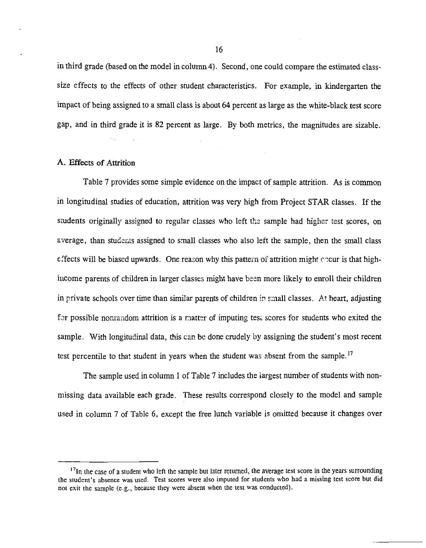in third grade (based on the model in column 4). Second, one could compare the estimated classsize effects to the effects of other student characteristics. For example, in kindergarten the impact of being assigned to a small class is about 64 percent as large as the white-black test score gap, and in third grade it is 82 percent as large. By both metrics, the magnitudes are sizable.

### A. Effects of Attrition

Table 7 provides some simple evidence on the impact of sample attrition. As is common in longitudinal studies of education, attrition was very high from Project STAR classes. If the students originally assigned to regular classes who left the sample had higher test scores, on average, than students assigned to small classes who also left the sample, then the small class effects will be biased upwards. One reason why this pattern of attrition might encur is that highincome parents of children in larger classes might have been more likely to enroll their children in private schools over time than similar parents of children in small classes. At heart, adjusting for possible nonrandom attrition is a matter of imputing test scores for students who exited the sample. With longitudinal data, this can be done crudely by assigning the student's most recent test percentile to that student in years when the student was absent from the sample.<sup>17</sup>

The sample used in column 1 of Table 7 includes the largest number of students with nonmissing data available each grade. These results correspond closely to the model and sample used in column 7 of Table 6, except the free lunch variable is omitted because it changes over

16

<sup>&</sup>lt;sup>17</sup>In the case of a student who left the sample but later returned, the average test score in the years surrounding the student's absence was used. Test scores were also imputed for students who had a missing test score but did not exit the sample (e.g., because they were absent when the test was conducted).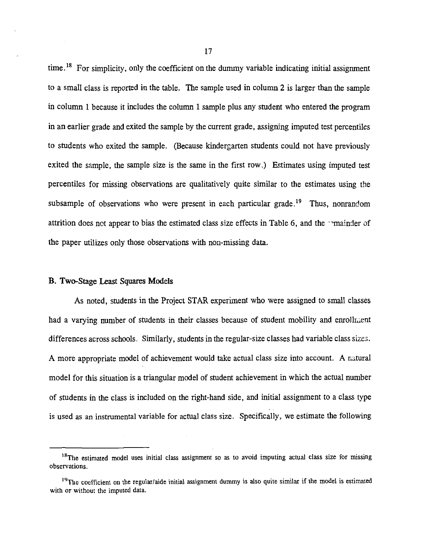time.<sup>18</sup> For simplicity, only the coefficient on the dummy variable indicating initial assignment to a small class is reported in the table. The sample used in column 2 is larger than the sample in column 1 because it includes the column 1 sample plus any student who entered the program in an earlier grade and exited the sample by the current grade, assigning imputed test percentiles to students who exited the sample. (Because kindergarten students could not have previously exited the sample, the sample size is the same in the first row.) Estimates using imputed test percentiles for missing observations are qualitatively quite similar to the estimates using the subsample of observations who were present in each particular grade.<sup>19</sup> Thus, nonrandom attrition does not appear to bias the estimated class size effects in Table 6, and the "mainder of the paper utilizes only those observations with non-missing data.

### B. Two-Stage Least Squares Models

As noted, students in the Project STAR experiment who were assigned to small classes had a varying number of students in their classes because of student mobility and enrollment differences across schools. Similarly, students in the regular-size classes had variable class sizes. A more appropriate model of achievement would take actual class size into account. A natural model for this situation is a triangular model of student achievement in which the actual number of students in the class is included on the right-hand side, and initial assignment to a class type is used as an instrumental variable for actual class size. Specifically, we estimate the following

<sup>&</sup>lt;sup>18</sup>The estimated model uses initial class assignment so as to avoid imputing actual class size for missing observations.

<sup>&</sup>lt;sup>19</sup>The coefficient on the regular/aide initial assignment dummy is also quite similar if the model is estimated with or without the imputed data.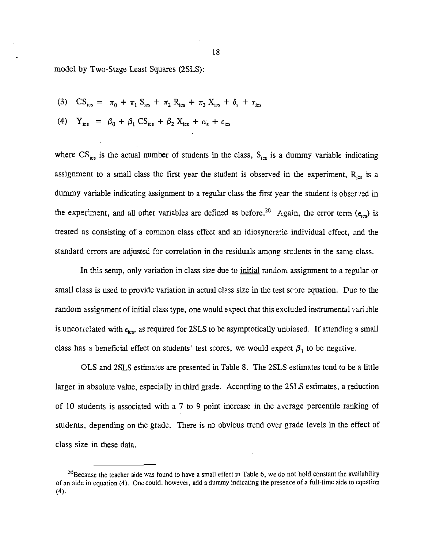model by Two-Stage Least Squares (2SLS):

- (3)  $CS_{\text{ics}} = \pi_0 + \pi_1 S_{\text{ics}} + \pi_2 R_{\text{ics}} + \pi_3 X_{\text{ics}} + \delta_s + \tau_{\text{ics}}$
- (4)  $Y_{ics} = \beta_0 + \beta_1 CS_{ics} + \beta_2 X_{ics} + \alpha_s + \epsilon_{ics}$

where  $CS_{ics}$  is the actual number of students in the class,  $S_{ics}$  is a dummy variable indicating assignment to a small class the first year the student is observed in the experiment,  $R_{ics}$  is a dummy variable indicating assignment to a regular class the first year the student is observed in the experiment, and all other variables are defined as before.<sup>20</sup> Again, the error term ( $\epsilon_{\text{ice}}$ ) is treated as consisting of a common class effect and an idiosyncratic individual effect, and the standard errors are adjusted for correlation in the residuals among students in the same class.

In this setup, only variation in class size due to initial random assignment to a regular or small class is used to provide variation in actual class size in the test score equation. Due to the random assignment of initial class type, one would expect that this excluded instrumental variable is uncorrelated with  $\epsilon_{\text{ics}}$ , as required for 2SLS to be asymptotically unbiased. If attending a small class has a beneficial effect on students' test scores, we would expect  $\beta_1$  to be negative.

OLS and 2SLS estimates are presented in Table 8. The 2SLS estimates tend to be a little larger in absolute value, especially in third grade. According to the 2SLS estimates, a reduction of 10 students is associated with a 7 to 9 point increase in the average percentile ranking of students, depending on the grade. There is no obvious trend over grade levels in the effect of class size in these data.

 $^{20}$ Because the teacher aide was found to have a small effect in Table 6, we do not hold constant the availability of an aide in equation (4). One could, however, add a dummy indicating the presence of a full-time aide to equation  $(4).$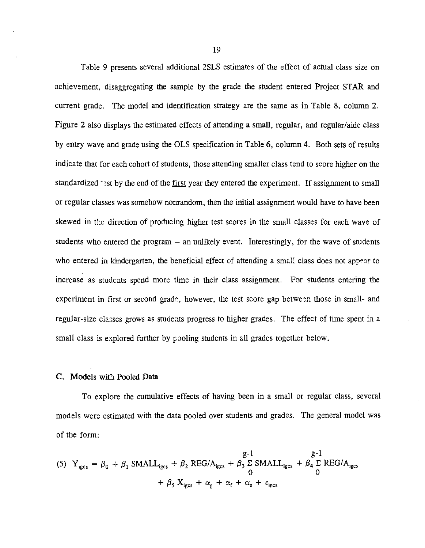Table 9 presents several additional 2SLS estimates of the effect of actual class size on achievement, disaggregating the sample by the grade the student entered Project STAR and current grade. The model and identification strategy are the same as in Table 8, column 2. Figure 2 also displays the estimated effects of attending a small, regular, and regular/aide class by entry wave and grade using the OLS specification in Table 6, column 4. Both sets of results indicate that for each cohort of students, those attending smaller class tend to score higher on the standardized that by the end of the first year they entered the experiment. If assignment to small or regular classes was somehow nonrandom, then the initial assignment would have to have been skewed in the direction of producing higher test scores in the small classes for each wave of students who entered the program -- an unlikely event. Interestingly, for the wave of students who entered in kindergarten, the beneficial effect of attending a small class does not appear to increase as students spend more time in their class assignment. For students entering the experiment in first or second grade, however, the test score gap between those in small- and regular-size classes grows as students progress to higher grades. The effect of time spent in a small class is explored further by pooling students in all grades together below.

### C. Models with Pooled Data

To explore the cumulative effects of having been in a small or regular class, several models were estimated with the data pooled over students and grades. The general model was of the form:

(5) 
$$
Y_{igcs} = \beta_0 + \beta_1 \text{ SMALL}_{igcs} + \beta_2 \text{ REG}/A_{igcs} + \beta_3 \sum_{i} \text{ SMALL}_{igcs} + \beta_4 \sum_{i} \text{REG}/A_{igcs} + \beta_5 X_{igcs} + \alpha_g + \alpha_f + \alpha_s + \epsilon_{igcs}
$$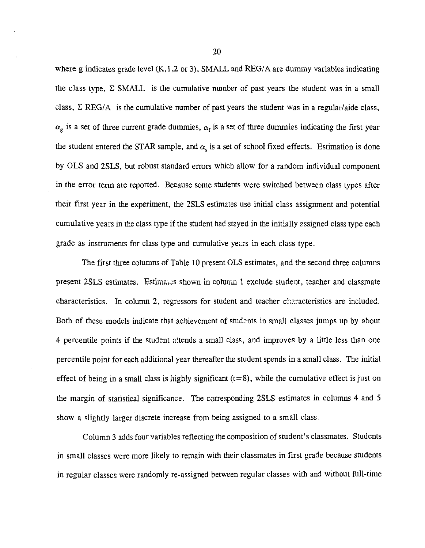where g indicates grade level  $(K, 1, 2 \text{ or } 3)$ , SMALL and REG/A are dummy variables indicating the class type,  $\Sigma$  SMALL is the cumulative number of past years the student was in a small class,  $\Sigma$  REG/A is the cumulative number of past years the student was in a regular/aide class,  $\alpha_{g}$  is a set of three current grade dummies,  $\alpha_{f}$  is a set of three dummies indicating the first year the student entered the STAR sample, and  $\alpha_s$  is a set of school fixed effects. Estimation is done by OLS and 2SLS, but robust standard errors which allow for a random individual component in the error term are reported. Because some students were switched between class types after their first year in the experiment, the 2SLS estimates use initial class assignment and potential cumulative years in the class type if the student had stayed in the initially assigned class type each grade as instruments for class type and cumulative years in each class type.

The first three columns of Table 10 present OLS estimates, and the second three columns present 2SLS estimates. Estimates shown in column 1 exclude student, teacher and classmate characteristics. In column 2, regressors for student and teacher characteristics are included. Both of these models indicate that achievement of students in small classes jumps up by about 4 percentile points if the student attends a small class, and improves by a little less than one percentile point for each additional year thereafter the student spends in a small class. The initial effect of being in a small class is highly significant  $(t=8)$ , while the cumulative effect is just on the margin of statistical significance. The corresponding 2SLS estimates in columns 4 and 5 show a slightly larger discrete increase from being assigned to a small class.

Column 3 adds four variables reflecting the composition of student's classmates. Students in small classes were more likely to remain with their classmates in first grade because students in regular classes were randomly re-assigned between regular classes with and without full-time

20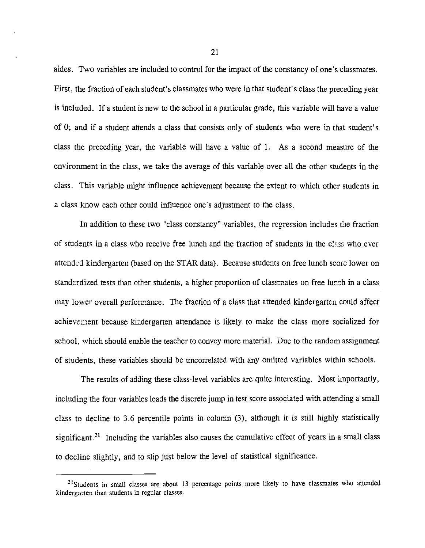aides. Two variables are included to control for the impact of the constancy of one's classmates. First, the fraction of each student's classmates who were in that student's class the preceding year is included. If a student is new to the school in a particular grade, this variable will have a value of 0; and if a student attends a class that consists only of students who were in that student's class the preceding year, the variable will have a value of 1. As a second measure of the environment in the class, we take the average of this variable over all the other students in the class. This variable might influence achievement because the extent to which other students in a class know each other could influence one's adjustment to the class.

In addition to these two "class constancy" variables, the regression includes the fraction of students in a class who receive free lunch and the fraction of students in the class who ever attended kindergarten (based on the STAR data). Because students on free lunch score lower on standardized tests than other students, a higher proportion of classmates on free lunch in a class may lower overall performance. The fraction of a class that attended kindergarten could affect achievement because kindergarten attendance is likely to make the class more socialized for school, which should enable the teacher to convey more material. Due to the random assignment of students, these variables should be uncorrelated with any omitted variables within schools.

The results of adding these class-level variables are quite interesting. Most importantly, including the four variables leads the discrete jump in test score associated with attending a small class to decline to 3.6 percentile points in column (3), although it is still highly statistically significant.<sup>21</sup> Including the variables also causes the cumulative effect of years in a small class to decline slightly, and to slip just below the level of statistical significance.

<sup>&</sup>lt;sup>21</sup>Students in small classes are about 13 percentage points more likely to have classmates who attended kindergarten than students in regular classes.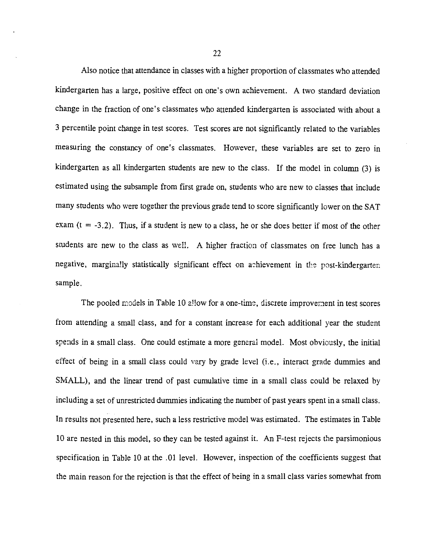Also notice that attendance in classes with a higher proportion of classmates who attended kindergarten has a large, positive effect on one's own achievement. A two standard deviation change in the fraction of one's classmates who attended kindergarten is associated with about a 3 percentile point change in test scores. Test scores are not significantly related to the variables measuring the constancy of one's classmates. However, these variables are set to zero in kindergarten as all kindergarten students are new to the class. If the model in column (3) is estimated using the subsample from first grade on, students who are new to classes that include many students who were together the previous grade tend to score significantly lower on the SAT exam  $(t = -3.2)$ . Thus, if a student is new to a class, he or she does better if most of the other students are new to the class as well. A higher fraction of classmates on free lunch has a negative, marginally statistically significant effect on achievement in the post-kindergarten sample.

The pooled models in Table 10 allow for a one-time, discrete improvement in test scores from attending a small class, and for a constant increase for each additional year the student spends in a small class. One could estimate a more general model. Most obviously, the initial effect of being in a small class could vary by grade level (i.e., interact grade dummies and SMALL), and the linear trend of past cumulative time in a small class could be relaxed by including a set of unrestricted dummies indicating the number of past years spent in a small class. In results not presented here, such a less restrictive model was estimated. The estimates in Table 10 are nested in this model, so they can be tested against it. An F-test rejects the parsimonious specification in Table 10 at the .01 level. However, inspection of the coefficients suggest that the main reason for the rejection is that the effect of being in a small class varies somewhat from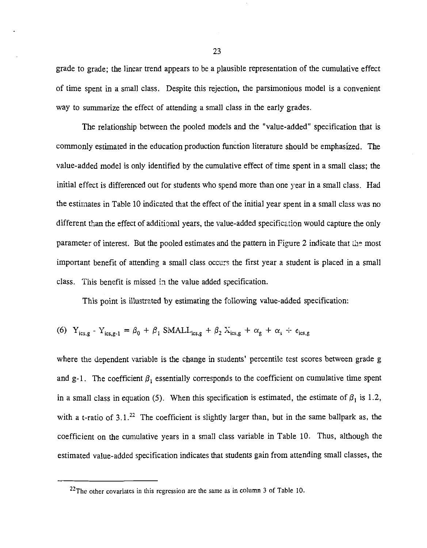grade to grade; the linear trend appears to be a plausible representation of the cumulative effect of time spent in a small class. Despite this rejection, the parsimonious model is a convenient way to summarize the effect of attending a small class in the early grades.

The relationship between the pooled models and the "value-added" specification that is commonly estimated in the education production function literature should be emphasized. The value-added model is only identified by the cumulative effect of time spent in a small class; the initial effect is differenced out for students who spend more than one year in a small class. Had the estimates in Table 10 indicated that the effect of the initial year spent in a small class was no different than the effect of additional years, the value-added specification would capture the only parameter of interest. But the pooled estimates and the pattern in Figure 2 indicate that the most important benefit of attending a small class occurs the first year a student is placed in a small class. This benefit is missed in the value added specification.

This point is illustrated by estimating the following value-added specification:

(6) 
$$
Y_{\text{ics,g}} - Y_{\text{ics,g-1}} = \beta_0 + \beta_1 \text{ SMALL}_{\text{ics,g}} + \beta_2 X_{\text{ics,g}} + \alpha_g + \alpha_s + \epsilon_{\text{ics,g}}
$$

where the dependent variable is the change in students' percentile test scores between grade g and g-1. The coefficient  $\beta_1$  essentially corresponds to the coefficient on cumulative time spent in a small class in equation (5). When this specification is estimated, the estimate of  $\beta_1$  is 1.2, with a t-ratio of  $3.1<sup>22</sup>$  The coefficient is slightly larger than, but in the same ballpark as, the coefficient on the cumulative years in a small class variable in Table 10. Thus, although the estimated value-added specification indicates that students gain from attending small classes, the

<sup>&</sup>lt;sup>22</sup>The other covariates in this regression are the same as in column 3 of Table 10.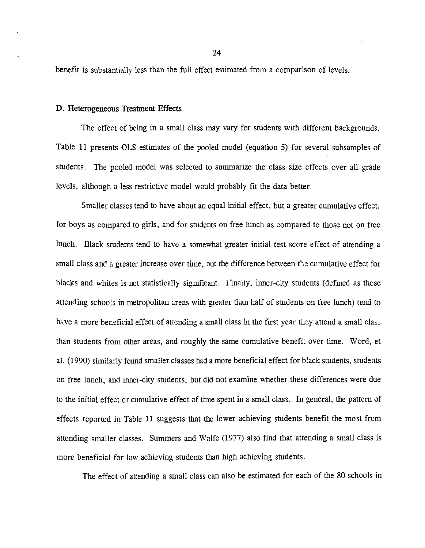benefit is substantially less than the full effect estimated from a comparison of levels.

### D. Heterogeneous Treatment Effects

The effect of being in a small class may vary for students with different backgrounds. Table 11 presents OLS estimates of the pooled model (equation 5) for several subsamples of students. The pooled model was selected to summarize the class size effects over all grade levels, although a less restrictive model would probably fit the data better.

Smaller classes tend to have about an equal initial effect, but a greater cumulative effect, for boys as compared to girls, and for students on free lunch as compared to those not on free lunch. Black students tend to have a somewhat greater initial test score effect of attending a small class and a greater increase over time, but the difference between the cumulative effect for blacks and whites is not statistically significant. Finally, inner-city students (defined as those attending schools in metropolitan areas with greater than half of students on free lunch) tend to have a more beneficial effect of attending a small class in the first year they attend a small class than students from other areas, and roughly the same cumulative benefit over time. Word, et al. (1990) similarly found smaller classes had a more beneficial effect for black students, students on free lunch, and inner-city students, but did not examine whether these differences were due to the initial effect or cumulative effect of time spent in a small class. In general, the pattern of effects reported in Table 11 suggests that the lower achieving students benefit the most from attending smaller classes. Summers and Wolfe (1977) also find that attending a small class is more beneficial for low achieving students than high achieving students.

The effect of attending a small class can also be estimated for each of the 80 schools in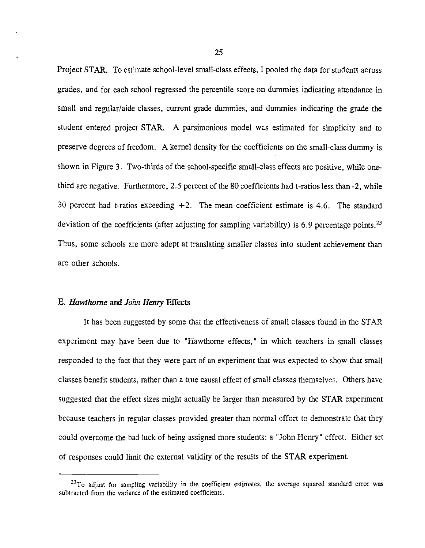Project STAR. To estimate school-level small-class effects, I pooled the data for students across grades, and for each school regressed the percentile score on dummies indicating attendance in small and regular/aide classes, current grade dummies, and dummies indicating the grade the student entered project STAR. A parsimonious model was estimated for simplicity and to preserve degrees of freedom. A kernel density for the coefficients on the small-class dummy is shown in Figure 3. Two-thirds of the school-specific small-class effects are positive, while onethird are negative. Furthermore, 2.5 percent of the 80 coefficients had t-ratios less than -2, while 30 percent had t-ratios exceeding  $+2$ . The mean coefficient estimate is 4.6. The standard deviation of the coefficients (after adjusting for sampling variability) is 6.9 percentage points.<sup>23</sup> Thus, some schools are more adept at translating smaller classes into student achievement than are other schools.

### E. Hawthorne and John Henry Effects

It has been suggested by some that the effectiveness of small classes found in the STAR experiment may have been due to "Hawthorne effects," in which teachers in small classes responded to the fact that they were part of an experiment that was expected to show that small classes benefit students, rather than a true causal effect of small classes themselves. Others have suggested that the effect sizes might actually be larger than measured by the STAR experiment because teachers in regular classes provided greater than normal effort to demonstrate that they could overcome the bad luck of being assigned more students: a "John Henry" effect. Either set of responses could limit the external validity of the results of the STAR experiment.

<sup>&</sup>lt;sup>23</sup>To adjust for sampling variability in the coefficient estimates, the average squared standard error was subtracted from the variance of the estimated coefficients.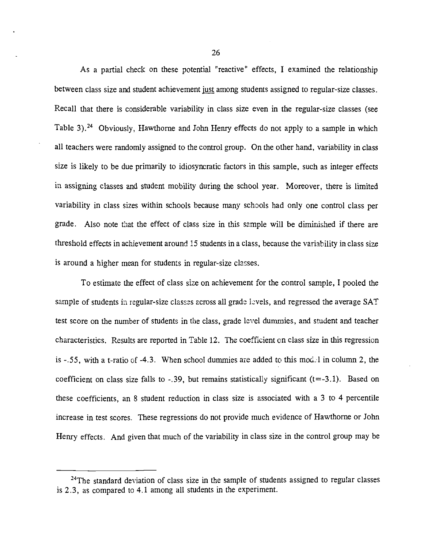As a partial check on these potential "reactive" effects, I examined the relationship between class size and student achievement just among students assigned to regular-size classes. Recall that there is considerable variability in class size even in the regular-size classes (see Table 3).<sup>24</sup> Obviously, Hawthorne and John Henry effects do not apply to a sample in which all teachers were randomly assigned to the control group. On the other hand, variability in class size is likely to be due primarily to idiosyncratic factors in this sample, such as integer effects in assigning classes and student mobility during the school year. Moreover, there is limited variability in class sizes within schools because many schools had only one control class per grade. Also note that the effect of class size in this sample will be diminished if there are threshold effects in achievement around 15 students in a class, because the variability in class size is around a higher mean for students in regular-size classes.

To estimate the effect of class size on achievement for the control sample. I pooled the sample of students in regular-size classes across all grade levels, and regressed the average SAT test score on the number of students in the class, grade level dummies, and student and teacher characteristics. Results are reported in Table 12. The coefficient on class size in this regression is -.55, with a t-ratio of -4.3. When school dummies are added to this model in column 2, the coefficient on class size falls to -.39, but remains statistically significant  $(t = -3.1)$ . Based on these coefficients, an 8 student reduction in class size is associated with a 3 to 4 percentile increase in test scores. These regressions do not provide much evidence of Hawthorne or John Henry effects. And given that much of the variability in class size in the control group may be

<sup>&</sup>lt;sup>24</sup>The standard deviation of class size in the sample of students assigned to regular classes is 2.3, as compared to 4.1 among all students in the experiment.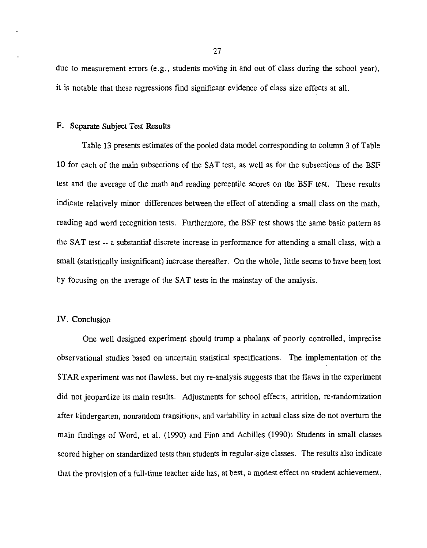due to measurement errors (e.g., students moving in and out of class during the school year), it is notable that these regressions find significant evidence of class size effects at all.

#### F. Separate Subject Test Results

Table 13 presents estimates of the pooled data model corresponding to column 3 of Table 10 for each of the main subsections of the SAT test, as well as for the subsections of the BSF test and the average of the math and reading percentile scores on the BSF test. These results indicate relatively minor differences between the effect of attending a small class on the math, reading and word recognition tests. Furthermore, the BSF test shows the same basic pattern as the SAT test -- a substantial discrete increase in performance for attending a small class, with a small (statistically insignificant) increase thereafter. On the whole, little seems to have been lost by focusing on the average of the SAT tests in the mainstay of the analysis.

### **IV.** Conclusion

One well designed experiment should trump a phalanx of poorly controlled, imprecise observational studies based on uncertain statistical specifications. The implementation of the STAR experiment was not flawless, but my re-analysis suggests that the flaws in the experiment did not jeopardize its main results. Adjustments for school effects, attrition, re-randomization after kindergarten, nonrandom transitions, and variability in actual class size do not overturn the main findings of Word, et al. (1990) and Finn and Achilles (1990): Students in small classes scored higher on standardized tests than students in regular-size classes. The results also indicate that the provision of a full-time teacher aide has, at best, a modest effect on student achievement,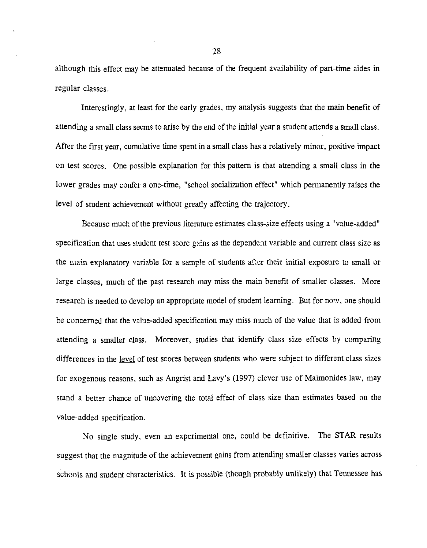although this effect may be attenuated because of the frequent availability of part-time aides in regular classes.

Interestingly, at least for the early grades, my analysis suggests that the main benefit of attending a small class seems to arise by the end of the initial year a student attends a small class. After the first year, cumulative time spent in a small class has a relatively minor, positive impact on test scores. One possible explanation for this pattern is that attending a small class in the lower grades may confer a one-time, "school socialization effect" which permanently raises the level of student achievement without greatly affecting the trajectory.

Because much of the previous literature estimates class-size effects using a "value-added" specification that uses student test score gains as the dependent variable and current class size as the main explanatory variable for a sample of students after their initial exposure to small or large classes, much of the past research may miss the main benefit of smaller classes. More research is needed to develop an appropriate model of student learning. But for now, one should be concerned that the value-added specification may miss much of the value that is added from attending a smaller class. Moreover, studies that identify class size effects by comparing differences in the level of test scores between students who were subject to different class sizes for exogenous reasons, such as Angrist and Lavy's (1997) clever use of Maimonides law, may stand a better chance of uncovering the total effect of class size than estimates based on the value-added specification.

No single study, even an experimental one, could be definitive. The STAR results suggest that the magnitude of the achievement gains from attending smaller classes varies across schools and student characteristics. It is possible (though probably unlikely) that Tennessee has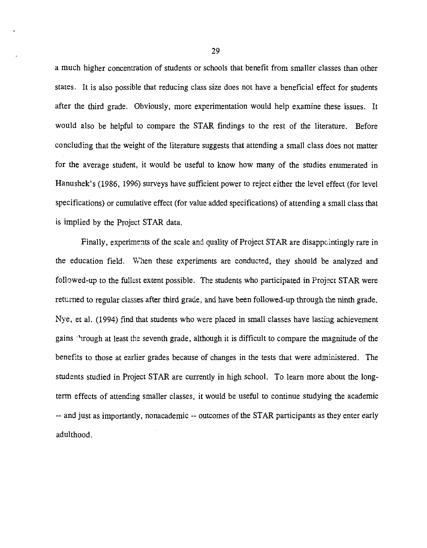a much higher concentration of students or schools that benefit from smaller classes than other states. It is also possible that reducing class size does not have a beneficial effect for students after the third grade. Obviously, more experimentation would help examine these issues. It would also be helpful to compare the STAR findings to the rest of the literature. Before concluding that the weight of the literature suggests that attending a small class does not matter for the average student, it would be useful to know how many of the studies enumerated in Hanushek's (1986, 1996) surveys have sufficient power to reject either the level effect (for level specifications) or cumulative effect (for value added specifications) of attending a small class that is implied by the Project STAR data.

Finally, experiments of the scale and quality of Project STAR are disappointingly rare in the education field. When these experiments are conducted, they should be analyzed and followed-up to the fullest extent possible. The students who participated in Project STAR were returned to regular classes after third grade, and have been followed-up through the ninth grade. Nye, et al. (1994) find that students who were placed in small classes have lasting achievement gains through at least the seventh grade, although it is difficult to compare the magnitude of the benefits to those at earlier grades because of changes in the tests that were administered. The students studied in Project STAR are currently in high school. To learn more about the longterm effects of attending smaller classes, it would be useful to continue studying the academic -- and just as importantly, nonacademic -- outcomes of the STAR participants as they enter early adulthood.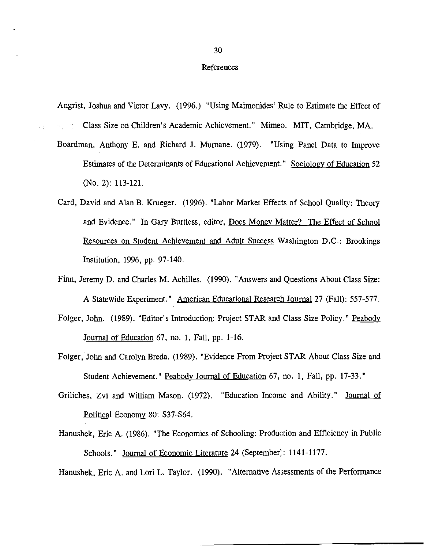#### References

Angrist, Joshua and Victor Lavy. (1996.) "Using Maimonides' Rule to Estimate the Effect of

- Class Size on Children's Academic Achievement." Mimeo. MIT, Cambridge, MA.  $\mu_{\rm max} = 10^{10}$  m
- Boardman, Anthony E. and Richard J. Murnane. (1979). "Using Panel Data to Improve Estimates of the Determinants of Educational Achievement." Sociology of Education 52  $(No. 2)$ : 113-121.
- Card, David and Alan B. Krueger. (1996). "Labor Market Effects of School Quality: Theory and Evidence." In Gary Burtless, editor, Does Money Matter? The Effect of School Resources on Student Achievement and Adult Success Washington D.C.: Brookings Institution, 1996, pp. 97-140.
- Finn, Jeremy D. and Charles M. Achilles. (1990). "Answers and Questions About Class Size: A Statewide Experiment." American Educational Research Journal 27 (Fall): 557-577.
- Folger, John. (1989). "Editor's Introduction: Project STAR and Class Size Policy." Peabody Journal of Education 67, no. 1, Fall, pp. 1-16.
- Folger, John and Carolyn Breda. (1989). "Evidence From Project STAR About Class Size and Student Achievement." Peabody Journal of Education 67, no. 1, Fall, pp. 17-33."
- Griliches, Zvi and William Mason. (1972). "Education Income and Ability." Journal of Political Economy 80: S37-S64.
- Hanushek, Eric A. (1986). "The Economics of Schooling: Production and Efficiency in Public Schools." Journal of Economic Literature 24 (September): 1141-1177.

Hanushek, Eric A. and Lori L. Taylor. (1990). "Alternative Assessments of the Performance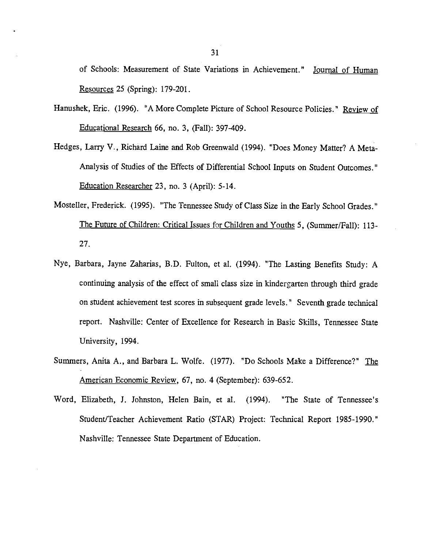of Schools: Measurement of State Variations in Achievement." Journal of Human Resources 25 (Spring): 179-201.

- Hanushek, Eric. (1996). "A More Complete Picture of School Resource Policies." Review of Educational Research 66, no. 3, (Fall): 397-409.
- Hedges, Larry V., Richard Laine and Rob Greenwald (1994). "Does Money Matter? A Meta-Analysis of Studies of the Effects of Differential School Inputs on Student Outcomes." Education Researcher 23, no. 3 (April): 5-14.
- Mosteller, Frederick. (1995). "The Tennessee Study of Class Size in the Early School Grades." The Future of Children: Critical Issues for Children and Youths 5, (Summer/Fall): 113-27.
- Nye, Barbara, Jayne Zaharias, B.D. Fulton, et al. (1994). "The Lasting Benefits Study: A continuing analysis of the effect of small class size in kindergarten through third grade on student achievement test scores in subsequent grade levels." Seventh grade technical report. Nashville: Center of Excellence for Research in Basic Skills, Tennessee State University, 1994.
- Summers, Anita A., and Barbara L. Wolfe. (1977). "Do Schools Make a Difference?" The American Economic Review, 67, no. 4 (September): 639-652.
- Word, Elizabeth, J. Johnston, Helen Bain, et al. (1994). "The State of Tennessee's Student/Teacher Achievement Ratio (STAR) Project: Technical Report 1985-1990." Nashville: Tennessee State Department of Education.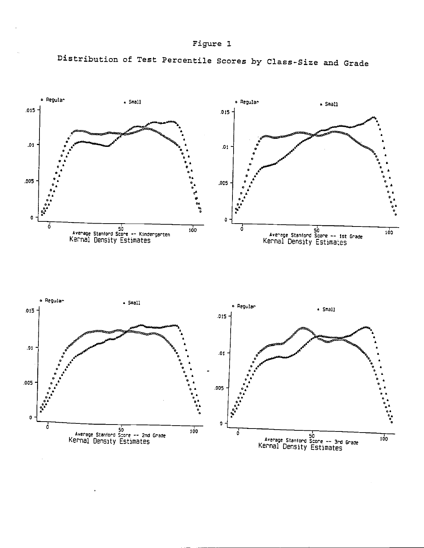



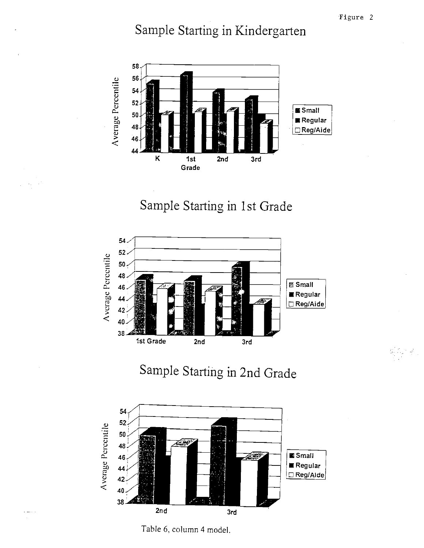$\frac{d}{dt}$  .

Sample Starting in Kindergarten



Sample Starting in 1st Grade



Sample Starting in 2nd Grade



Table 6, column 4 model.

. . . .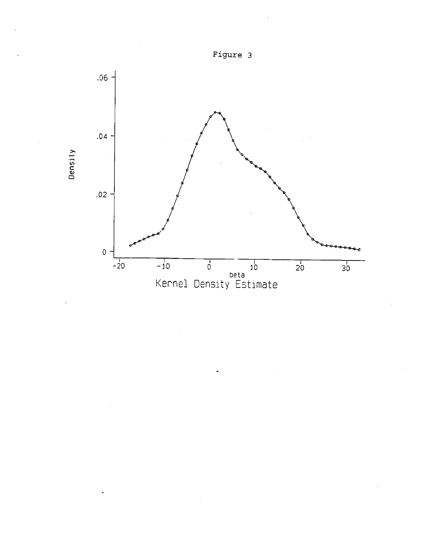

Figure 3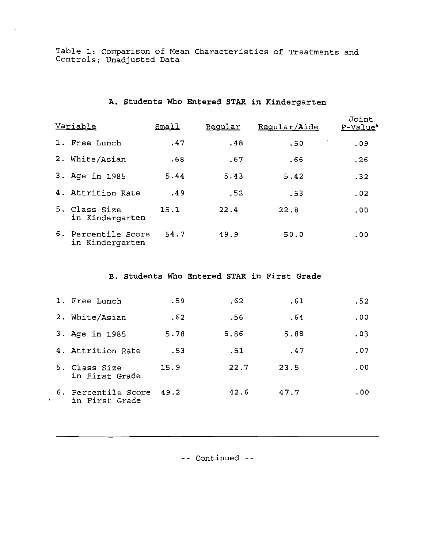Table 1: Comparison of Mean Characteristics of Treatments and<br>Controls; Unadjusted Data

### A. Students Who Entered STAR in Kindergarten

|               | Variable                               | Sma11 | Reqular | Reqular/Aide | Joint<br>$P-Value^a$ |
|---------------|----------------------------------------|-------|---------|--------------|----------------------|
| $\mathbf 1$ . | Free Lunch                             | .47   | .48     | .50          | .09                  |
|               | 2. White/Asian                         | .68   | .67     | .66          | .26                  |
|               | 3. Age in 1985                         | 5.44  | 5.43    | 5.42         | .32                  |
|               | 4. Attrition Rate                      | .49   | .52     | .53          | .02                  |
|               | 5. Class Size<br>in Kindergarten       | 15.1  | 22.4    | 22.8         | .00                  |
|               | 6. Percentile Score<br>in Kindergarten | 54.7  | 49.9    | 50.0         | .00                  |

### B. Students Who Entered STAR in First Grade

| 1. Free Lunch                         | .59  | .62  | .61  | .52 |
|---------------------------------------|------|------|------|-----|
| 2. White/Asian                        | .62  | .56  | .64  | .00 |
| 3. Age in 1985                        | 5.78 | 5.86 | 5.88 | .03 |
| 4. Attrition Rate                     | .53  | .51  | .47  | .07 |
| 5. Class Size<br>in First Grade       | 15.9 | 22.7 | 23.5 | .00 |
| 6. Percentile Score<br>in First Grade | 49.2 | 42.6 | 47.7 | .00 |

 $\bar{\mathbf{r}}$ 

-- Continued --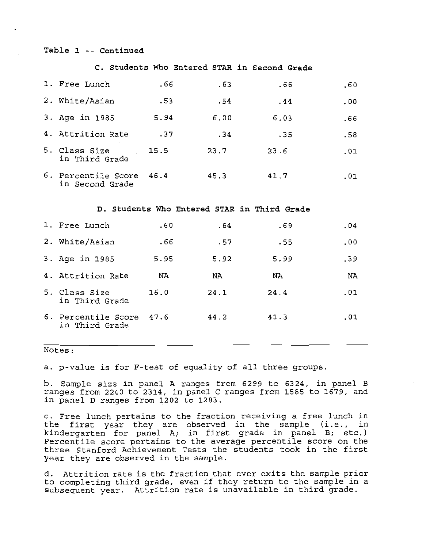### Table 1 -- Continued

#### C. Students Who Entered STAR in Second Grade

| 1. Free Lunch                               | .66  | .63  | .66                                         | .60      |
|---------------------------------------------|------|------|---------------------------------------------|----------|
| 2. White/Asian                              | .53  | .54  | .44                                         | $.00 \,$ |
| 3. Age in 1985                              | 5.94 | 6.00 | 6.03                                        | .66      |
| 4. Attrition Rate                           | .37  | .34  | .35                                         | .58      |
| 5. Class Size<br>in Third Grade             | 15.5 | 23.7 | 23.6                                        | .01      |
| 6. Percentile Score 46.4<br>in Second Grade |      | 45.3 | 41.7                                        | .01      |
|                                             |      |      | D. Students Who Entered STAR in Third Grade |          |

1. Free Lunch  $.60$  $64$  $.69$  $.04$ 2. White/Asian  $.00$ .66  $.57$  $.55$ 3. Age in 1985 5.99 5.95 5.92  $.39$ 4. Attrition Rate NA. NA. NA 1 NA 5. Class Size  $16.0$  $24.1$ 24.4  $.01$ in Third Grade 6. Percentile Score 47.6 44.2  $41.3$  $.01$ in Third Grade

### Notes:

a. p-value is for F-test of equality of all three groups.

b. Sample size in panel A ranges from 6299 to 6324, in panel B ranges from 2240 to 2314, in panel C ranges from 1585 to 1679, and in panel D ranges from 1202 to 1283.

c. Free lunch pertains to the fraction receiving a free lunch in the first year they are observed in the sample (i.e., in kindergarten for panel A; in first grade in panel B; etc.) Percentile score pertains to the average percentile score on the three Stanford Achievement Tests the students took in the first year they are observed in the sample.

d. Attrition rate is the fraction that ever exits the sample prior to completing third grade, even if they return to the sample in a subsequent year. Attrition rate is unavailable in third grade.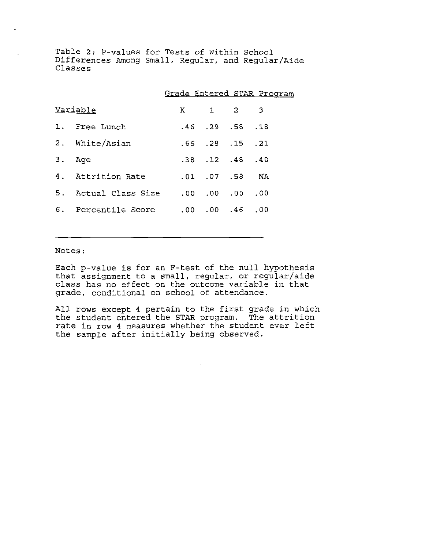Table 2: P-values for Tests of Within School Differences Among Small, Regular, and Regular/Aide Classes

|          |                                      |                                     | Grade Entered STAR Program |
|----------|--------------------------------------|-------------------------------------|----------------------------|
|          | Variable                             | K 1 2 3                             |                            |
|          | 1. Free Lunch                        | $.46$ $.29$ $.58$ $.18$             |                            |
|          | 2. White/Asian                       | $.66$ $.28$ $.15$ $.21$             |                            |
| $3.$ Age |                                      | $.38$ $.12$ $.48$ $.40$             |                            |
|          | 4. Attrition Rate                    | $.01$ $.07$ $.58$ NA                |                            |
|          | 5. Actual Class Size .00 .00 .00 .00 |                                     |                            |
|          | 6. Percentile Score                  | $.00 \quad .00 \quad .46 \quad .00$ |                            |

Notes:

Each p-value is for an F-test of the null hypothesis that assignment to a small, regular, or regular/aide class has no effect on the outcome variable in that grade, conditional on school of attendance.

All rows except 4 pertain to the first grade in which the student entered the STAR program. The attrition rate in row 4 measures whether the student ever left the sample after initially being observed.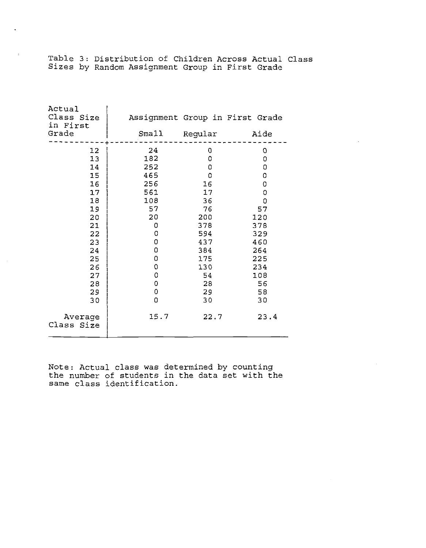|  | Table 3: Distribution of Children Across Actual Class |  |  |  |
|--|-------------------------------------------------------|--|--|--|
|  | Sizes by Random Assignment Group in First Grade       |  |  |  |

| Actual<br>Class Size<br>in First<br>Grade                                                                      | Small                                                                                                                                          | Regular                                                                                                           | Assignment Group in First Grade<br>Aide                                                                                       |
|----------------------------------------------------------------------------------------------------------------|------------------------------------------------------------------------------------------------------------------------------------------------|-------------------------------------------------------------------------------------------------------------------|-------------------------------------------------------------------------------------------------------------------------------|
| 12<br>13<br>14<br>15<br>16<br>17<br>18<br>19<br>20<br>21<br>22<br>23<br>24<br>25<br>26<br>27<br>28<br>29<br>30 | 24<br>182<br>252<br>465<br>256<br>561<br>108<br>57<br>20<br>0<br>0<br>$\mathbf 0$<br>0<br>$\circ$<br>0<br>0<br>$\mathbf 0$<br>$\mathbf 0$<br>0 | 0<br>0<br>0<br>0<br>16<br>17<br>36<br>76<br>200<br>378<br>594<br>437<br>384<br>175<br>130<br>54<br>28<br>29<br>30 | 0<br>0<br>0<br>0<br>0<br>$\overline{0}$<br>0<br>57<br>120<br>378<br>329<br>460<br>264<br>225<br>234<br>108<br>56<br>-58<br>30 |
| Average<br>Class Size                                                                                          | 15.7                                                                                                                                           | 22.7                                                                                                              | 23.4                                                                                                                          |

Note: Actual class was determined by counting<br>the number of students in the data set with the<br>same class identification.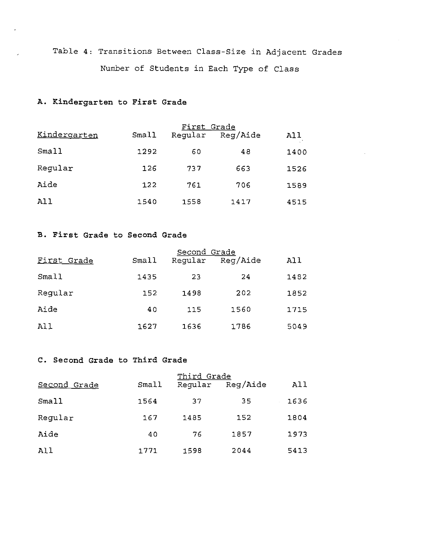## Table 4: Transitions Between Class-Size in Adjacent Grades Number of Students in Each Type of Class

### A. Kindergarten to First Grade

|              |       | First Grade |          |      |
|--------------|-------|-------------|----------|------|
| Kindergarten | Small | Reqular     | Reg/Aide | All  |
| Small        | 1292  | 60          | 48       | 1400 |
| Regular      | 126   | 737         | 663      | 1526 |
| Aide         | 122   | 761         | 706      | 1589 |
| All          | 1540  | 1558        | 1417     | 4515 |

### B. First Grade to Second Grade

|             |       | Second Grade |          |      |
|-------------|-------|--------------|----------|------|
| First Grade | Small | Reqular      | Reg/Aide | A11  |
| Small       | 1435  | 23           | 24       | 1482 |
| Reqular     | 152   | 1498         | 202      | 1852 |
| Aide        | 40    | 115          | 1560     | 1715 |
| All         | 1627  | 1636         | 1786     | 5049 |

### C. Second Grade to Third Grade

| Second Grade | Small | Third Grade<br>Reqular | Reg/Aide | All  |
|--------------|-------|------------------------|----------|------|
| Small        | 1564  | 37                     | 35       | 1636 |
| Regular      | 167   | 1485                   | 152      | 1804 |
| Aide         | 40    | 76                     | 1857     | 1973 |
| All          | 1771  | 1598                   | 2044     | 5413 |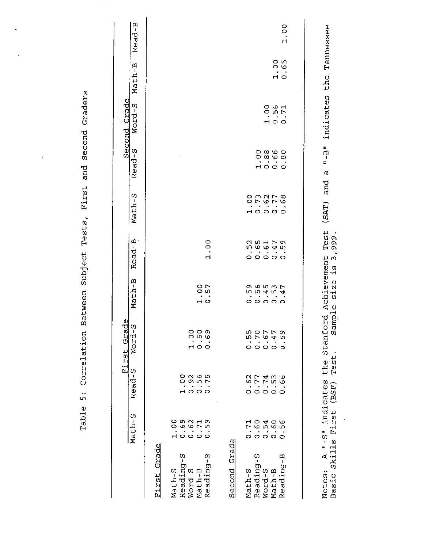|                                            |                      |                                                                                                                                                                  | First Grade                |                                  |                                                                 |                                                                                             |                            | Second Grade                                |                                    |         |
|--------------------------------------------|----------------------|------------------------------------------------------------------------------------------------------------------------------------------------------------------|----------------------------|----------------------------------|-----------------------------------------------------------------|---------------------------------------------------------------------------------------------|----------------------------|---------------------------------------------|------------------------------------|---------|
|                                            | Math-S               | Read-S                                                                                                                                                           | $WOrd-S$                   | Math-B                           | Read-B                                                          | Math-S                                                                                      | Read-S                     | Word-S                                      | Math-B                             | Read-B  |
| First Grade                                |                      |                                                                                                                                                                  |                            |                                  |                                                                 |                                                                                             |                            |                                             |                                    |         |
| Math-S                                     |                      |                                                                                                                                                                  |                            |                                  |                                                                 |                                                                                             |                            |                                             |                                    |         |
|                                            |                      | 0005<br>0005<br>$\bullet$ , $\bullet$ , $\bullet$<br>$\begin{array}{c}\n\blacksquare & \lozenge & \lozenge \\ \blacksquare & \lozenge & \lozenge \\ \end{array}$ |                            |                                  |                                                                 |                                                                                             |                            |                                             |                                    |         |
| Reading-S<br>Word-S<br>Math-B<br>Reading-B |                      |                                                                                                                                                                  | $0000$<br>$-100$<br>$-100$ | っト<br>្មុយ<br>H <sub>O</sub>     | oo<br>ᆏ                                                         |                                                                                             |                            |                                             |                                    |         |
| Second Grade                               |                      |                                                                                                                                                                  |                            |                                  |                                                                 |                                                                                             |                            |                                             |                                    |         |
|                                            |                      |                                                                                                                                                                  |                            |                                  |                                                                 |                                                                                             |                            |                                             |                                    |         |
| Math-S                                     |                      |                                                                                                                                                                  |                            |                                  |                                                                 |                                                                                             |                            |                                             |                                    |         |
| Reading-S<br>Word-S<br>Math-B              |                      | $0.77406$<br>$0.77406$<br>$0.66$<br>$\circ \circ \circ \circ \circ$                                                                                              | らいてつ<br>000000             | のんこうし<br>n n 4 n 4<br>٠<br>00000 | <b>ひちよりの</b><br><b>56645</b><br>$\circ \circ \circ \circ \circ$ | OMNT 8<br>ON 676<br>٠<br>$\begin{array}{c}\n 1 & 0 & 0 & 0 \\  0 & 0 & 0 & 0\n \end{array}$ | ၀ ထ ဖ ဝ<br>၀ ထ ယ ထ<br>HOOO |                                             |                                    |         |
|                                            |                      |                                                                                                                                                                  |                            |                                  |                                                                 |                                                                                             |                            | ៓៓<br>$O$ IO $\Gamma$<br>$\overline{H}$ O O |                                    |         |
| É<br>Reading-                              |                      |                                                                                                                                                                  |                            |                                  |                                                                 |                                                                                             |                            |                                             | o n<br>$\circ$ $\circ$<br>۰<br>H O | oo<br>ᆏ |
|                                            |                      |                                                                                                                                                                  |                            |                                  |                                                                 |                                                                                             |                            |                                             |                                    |         |
|                                            |                      |                                                                                                                                                                  |                            |                                  |                                                                 |                                                                                             |                            |                                             |                                    |         |
| f                                          | $\ddot{\phantom{a}}$ |                                                                                                                                                                  | ŗ<br>t                     |                                  |                                                                 |                                                                                             |                            |                                             |                                    |         |

Table 5: Correlation Between Subject Tests, First and Second Graders

Notes: A "-S" indicates the Stanford Achievement Test (SAT) and a "-B" indicates the Tennessee<br>Basic Skills First (BSF) Test. Sample size is 3,999.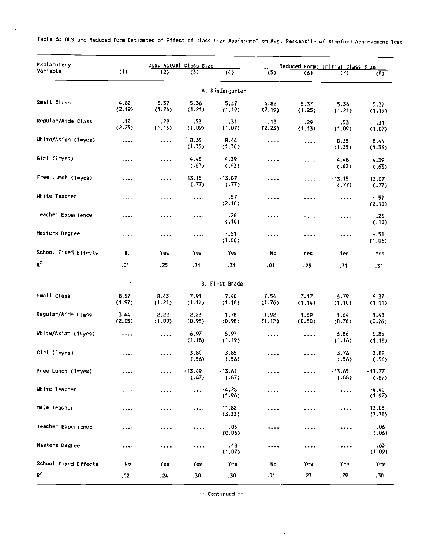| Explanatory          |                  |                | OLS: Actual Class Size |                   |                |                | Reduced Form: Initial Class Size |                   |
|----------------------|------------------|----------------|------------------------|-------------------|----------------|----------------|----------------------------------|-------------------|
| Variable             | $\overline{(1)}$ | (2)            | (3)                    | (4)               | (5)            | (6)            | (7)                              | (8)               |
|                      |                  |                |                        | A. Kindergarten   |                |                |                                  |                   |
| Small Class          | 4.82<br>(2.19)   | 5.37<br>(1.26) | 5.36<br>(1.21)         | 5.37<br>(1.19)    | 4.82<br>(2.19) | 5.37<br>(1.25) | 5.36<br>(1.21)                   | 5.37<br>(1.19)    |
| Regular/Aide Class   | .12<br>(2.23)    | . 29<br>(1.13) | .53<br>(1.09)          | 31ء<br>(1.07)     | . 12<br>(2.23) | .29<br>(1.13)  | .53<br>(1.09)                    | .31<br>(1.07)     |
| White/Asian (1=yes)  | .                | .              | 8.35<br>(1.35)         | 8.44<br>(1.36)    | .              | $\cdots$       | 8.35<br>(1.35)                   | 8,44<br>(1.36)    |
| Girl $(1=yes)$       |                  | .              | 4.48<br>(.63)          | 4.39<br>(.63)     | .              | .              | 4.48<br>(.63)                    | 4.39<br>(.63)     |
| Free Lunch (1=yes)   | .                | .              | $-13.15$<br>(.77)      | $-13.07$<br>(.77) | .              | .              | $-13.15$<br>(.77)                | $-13.07$<br>(.77) |
| White Teacher        | .                | .              | $\cdots$               | $-0.57$<br>(2.10) | .              | .              | .                                | $-.57$<br>(2.10)  |
| Teacher Experience   | .                | .              |                        | .26<br>(.10)      | .              | $\cdot$        | $\cdots$                         | .26<br>(.10)      |
| Masters Degree       | $\cdots$         | .              |                        | $-151$<br>(1.06)  | .              | .              | $\cdots$                         | $-0.51$<br>(1.06) |
| School Fixed Effects | No               | Yes            | Yes                    | Yes               | No             | Yes            | Yes                              | Yes               |
| $R^2$                | .01              | .25            | .31                    | .31               | .01            | .25            | . 31                             | .31               |
|                      |                  |                |                        | B. First Grade    |                |                |                                  |                   |
| Small Class          | 8.57<br>(1.97)   | 8.43<br>(1.21) | 7.91<br>(1.17)         | 7,40<br>(1.18)    | 7.54<br>(1.76) | 7.17<br>(1.14) | 6.79<br>(1.10)                   | 6.37<br>(1.11)    |
| Regular/Aide Class   | 3.44<br>(2.05)   | 2.22<br>(1.00) | 2.23<br>(0.98)         | 1.78<br>(0.98)    | 1.92<br>(1.12) | 1.69<br>(0.80) | 1.64<br>(0.76)                   | 1.48<br>(0.76)    |
| White/Asian (1=yes)  | .                | .              | 6.97<br>(1.18)         | 6.97<br>(1.19)    | .              | .              | 6.86<br>(1.18)                   | 6.85<br>(1.18)    |
| Girl (1=yes)         | .                | .              | 3.80<br>(.56)          | 3.85<br>(.56)     |                |                | 3.76<br>(.56)                    | 3.82<br>(.56)     |
| Free Lunch (1=yes)   | .                | .              | $-13.49$<br>(.87)      | $-13.61$<br>(.87) | .              | .              | $-13.65$<br>(.88)                | $-13.77$<br>(.87) |
| White Teacher        | .                | .              | .                      | $-4.28$<br>(1.96) | .              | .              | $\cdots$                         | $-4.40$<br>(1.97) |
| Male Teacher         | .                | $\cdots$       | $\cdots$               | 11.82<br>(3.33)   | .              | .              | $\cdots$                         | 13.06<br>(3.38)   |
| Teacher Experience   | $\cdots$         | $\cdots$       |                        | .05<br>(0.06)     | .              | .              | .                                | .06<br>(.06)      |
| Masters Degree       | .                | $\cdots$       |                        | .48<br>(1.07)     | .              | $\cdots$       | $\cdots$                         | .63<br>(1.09)     |
| School Fixed Effects | No               | Yes            | Yes                    | Yes               | No             | Yes            | Yes                              | Yes               |
| $R^2$                | .02              | .24            | .30                    | .30               | .01            | $-23$          | .29                              | .30               |

Table 6: OLS and Reduced Form Estimates of Effect of Class-Size Assignment on Avg. Percentile of Stanford Achievement Test

 $\epsilon$ 

 $\hat{\mu}$ 

-- Continued --

 $\frac{1}{2} \frac{1}{2} \frac{1}{2} \frac{1}{2} \frac{1}{2} \frac{1}{2} \frac{1}{2} \frac{1}{2}$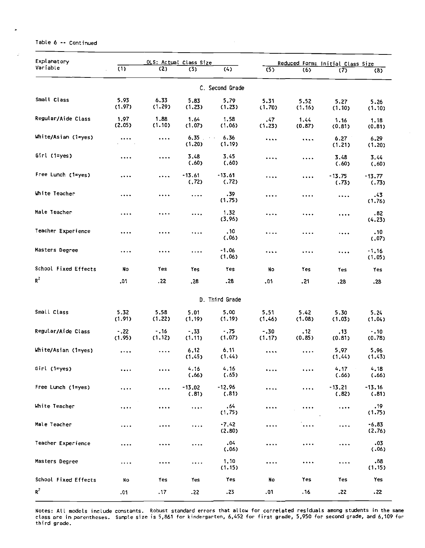### Table 6 -- Continued

| Explanatory          | OLS: Actual Class Size |                                |                   | Reduced Form: Initial Class Size      |                  |                |                   |                   |
|----------------------|------------------------|--------------------------------|-------------------|---------------------------------------|------------------|----------------|-------------------|-------------------|
| Variable             | (1)                    | (2)                            | (3)               | (4)                                   | (5)              | (6)            | (7)               | (8)               |
|                      |                        |                                |                   | C. Second Grade                       |                  |                |                   |                   |
| Small Class          | 5.93<br>(1.97)         | 6.33<br>(1.29)                 | 5.83<br>(1.23)    | 5.79<br>(1.23)                        | 5.31<br>(1.70)   | 5.52<br>(1.16) | 5.27<br>(1.10)    | 5.26<br>(1.10)    |
| Regular/Aide Class   | 1.97<br>(2.05)         | 1.88<br>(1.10)                 | 1.64<br>(1.07)    | 1.58<br>(1.06)                        | .47<br>(1.23)    | 1.44<br>(0.87) | 1.16<br>(0.81)    | 1.18<br>(0.81)    |
| White/Asian (1=yes)  | $\cdots$               | $\cdots$                       | 6,35<br>(1.20)    | 6.36<br>$\epsilon = \omega$<br>(1.19) | .                |                | 6.27<br>(1.21)    | 6.29<br>(1.20)    |
| Girl (1=yes)         | $\cdots$               | $\cdots$                       | 3.48<br>(.60)     | 3,45<br>(.60)                         |                  | .              | 3.48<br>(.60)     | 3.44<br>(.60)     |
| Free Lunch (1=yes)   | $\cdots$               | $\cdots$                       | $-13.61$<br>(.72) | $-13.61$<br>(.72)                     | $\cdots$         |                | $-13,75$<br>(.73) | $-13.77$<br>(.73) |
| White Teacher        | $\cdots$               | $\cdots$                       | $\cdots$          | .39<br>(1.75)                         |                  | .              | $\cdots$          | .43<br>(1.76)     |
| Male Teacher         | .                      | .                              | $\cdots$          | 1,32<br>(3.96)                        | .                | .              | .                 | .82<br>(4.23)     |
| Teacher Experience   | $\cdots$               |                                |                   | .10<br>(.06)                          | .                |                | .                 | .10<br>(.07)      |
| Masters Degree       | $\cdots$               |                                | $\cdots$          | $-1.06$<br>(1.06)                     |                  | $\cdots$       | $\cdots$          | -1.16<br>(1.05)   |
| School Fixed Effects | No                     | Yes                            | Yes               | Yes                                   | No               | Yes            | Yes               | Yes               |
| $R^2$                | .01                    | .22                            | .28               | .28                                   | .01              | . 21           | .28               | .28               |
|                      |                        |                                |                   | D. Third Grade                        |                  |                |                   |                   |
| Small Class          | 5.32                   | 5.58                           | 5.01              | 5.00                                  | 5.51             | 5.42           | 5.30              | 5.24              |
|                      | (1.91)                 | (1.22)                         | (1.19)            | (1.19)                                | (1.46)           | (1.08)         | (1.03)            | (1.04)            |
| Regular/Aide Class   | $-.22$<br>(1.95)       | $-16$<br>(1.12)                | $-1.33$<br>(1.11) | $-.75$<br>(1.07)                      | $-.30$<br>(1.17) | .12<br>(0.85)  | .13<br>(0.81)     | .10<br>(0.78)     |
| White/Asian (1=yes)  | .                      | $\bullet\bullet\bullet\bullet$ | 6.12<br>(1.45)    | 6.11<br>(1.44)                        | $\cdots$         | $\cdots$       | 5.97<br>(1.44)    | 5.96<br>(1.43)    |
| Girl (1=yes)         | $\cdots$               | $\cdots$                       | 4.16<br>(.66)     | 4.16<br>(.65)                         | .                | $\cdots$       | 4.17<br>(.66)     | 4.18<br>(.66)     |
| Free Lunch (1=yes)   | .                      | $\cdots$                       | $-13.02$<br>(.81) | $-12.96$<br>(.81)                     | .                | .              | $-13,21$<br>(.82) | $-13.16$<br>(.81) |
| White Teacher        |                        |                                | .                 | .64<br>(1.75)                         | .                | .              | .                 | .19<br>(1.75)     |
| Male Teacher         | .                      | .                              | .                 | $-7.42$<br>(2.80)                     | .                | $\cdots$       | $\cdots$          | $-6.83$<br>(2.76) |
| Teacher Experience   |                        | .                              | .                 | .04<br>(.06)                          | .                | .              | .                 | .03<br>(.06)      |
| Masters Degree       | .                      | .                              | .                 | 1.10<br>(1.15)                        | .                | .              | .                 | .88<br>(1.15)     |
| School Fixed Effects | No                     | Yes                            | Yes               | Yes                                   | No               | Yes            | Yes               | Yes               |
| $R^2$                | .01                    | .17                            | .22               | .23                                   | .01              | .16            | .22               | .22               |

Notes: All models include constants. Robust standard errors that allow for correlated residuals among students in the same<br>class are in parentheses. Sample size is 5,861 for kindergarten, 6,452 for first grade, 5,950 for s third grade.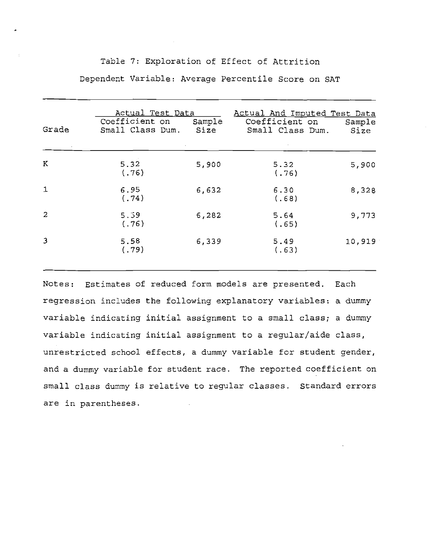| Grade          | Actual Test Data<br>Coefficient on<br>Small Class Dum. | Sample<br>Size | Actual And Imputed Test Data<br>Coefficient on<br>Small Class Dum. | Sample<br>Size |
|----------------|--------------------------------------------------------|----------------|--------------------------------------------------------------------|----------------|
| K              | 5.32<br>(.76)                                          | 5,900          | 5.32<br>(.76)                                                      | 5,900          |
| $\mathbf{1}$   | 6.95<br>(.74)                                          | 6,632          | 6.30<br>(.68)                                                      | 8,328          |
| $\overline{2}$ | 5.59<br>(.76)                                          | 6,282          | 5.64<br>(.65)                                                      | 9,773          |
| $\overline{3}$ | 5.58<br>(.79)                                          | 6,339          | 5.49<br>(.63)                                                      | 10,919         |

Table 7: Exploration of Effect of Attrition Dependent Variable: Average Percentile Score on SAT

Notes: Estimates of reduced form models are presented. Each regression includes the following explanatory variables: a dummy variable indicating initial assignment to a small class; a dummy variable indicating initial assignment to a regular/aide class, unrestricted school effects, a dummy variable for student gender, and a dummy variable for student race. The reported coefficient on small class dummy is relative to regular classes. Standard errors are in parentheses.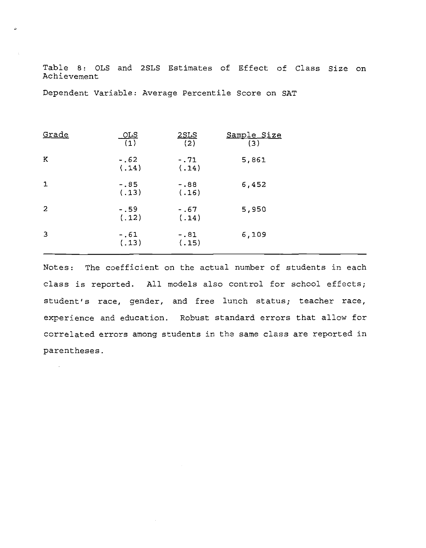Table 8: OLS and 2SLS Estimates of Effect of Class Size on Achievement

Dependent Variable: Average Percentile Score on SAT

| <u>Grade</u> | <u>ols</u><br>$\overline{1}$ | <u> 2SLS</u><br>(2) | <u>Sample Size</u><br>(3) |
|--------------|------------------------------|---------------------|---------------------------|
| Κ            | $-.62$<br>(14)               | $-.71$<br>(.14)     | 5,861                     |
| $\mathbf{1}$ | -.85<br>(.13)                | $-.88$<br>(.16)     | 6,452                     |
| 2            | $-.59$<br>(.12)              | $-.67$<br>(.14)     | 5,950                     |
| 3            | $-.61$<br>(.13)              | $-.81$<br>(.15)     | 6,109                     |

Notes: The coefficient on the actual number of students in each class is reported. All models also control for school effects; student's race, gender, and free lunch status; teacher race, experience and education. Robust standard errors that allow for correlated errors among students in the same class are reported in parentheses.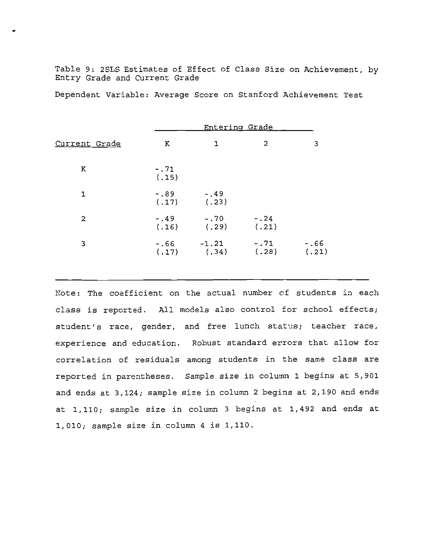Table 9: 2SLS Estimates of Effect of Class Size on Achievement, by Entry Grade and Current Grade

Dependent Variable: Average Score on Stanford Achievement Test

|                |                 | Entering Grade   |                  |                 |  |  |  |
|----------------|-----------------|------------------|------------------|-----------------|--|--|--|
| Current Grade  | K               | 1                | 2                | 3               |  |  |  |
| K              | $-.71$<br>(.15) |                  |                  |                 |  |  |  |
| 1              | $-.89$<br>(.17) | $-.49$<br>(.23)  |                  |                 |  |  |  |
| $\overline{2}$ | $-.49$<br>(.16) | $-.70$<br>(.29)  | $-0.24$<br>(.21) |                 |  |  |  |
| 3              | $-.66$<br>(.17) | $-1.21$<br>(.34) | $-0.71$<br>(.28) | $-.66$<br>(.21) |  |  |  |

Note: The coefficient on the actual number of students in each class is reported. All models also control for school effects; student's race, gender, and free lunch status; teacher race, experience and education. Robust standard errors that allow for correlation of residuals among students in the same class are reported in parentheses. Sample size in column 1 begins at 5,901 and ends at 3,124; sample size in column 2 begins at 2,190 and ends at 1,110; sample size in column 3 begins at 1,492 and ends at  $1,010$ ; sample size in column 4 is  $1,110$ .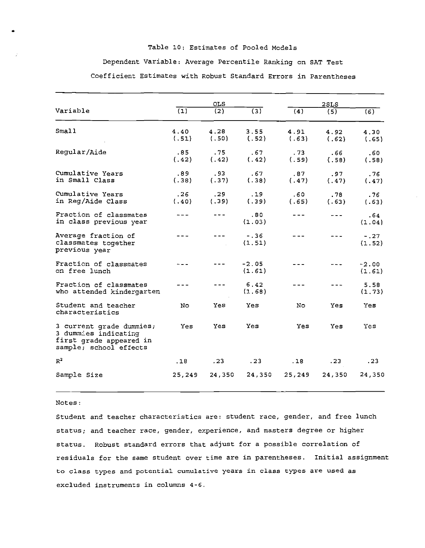### Table 10: Estimates of Pooled Models Dependent Variable: Average Percentile Ranking on SAT Test Coefficient Estimates with Robust Standard Errors in Parentheses

|                                                                                                       | <b>OLS</b>       |               |                   | 2SLS             |                           |                   |
|-------------------------------------------------------------------------------------------------------|------------------|---------------|-------------------|------------------|---------------------------|-------------------|
| Variable                                                                                              | $\overline{(1)}$ | (2)           | $\overline{(3)}$  | $\overline{(4)}$ | (5)                       | (6)               |
| Small                                                                                                 | 4.40<br>(.51)    | 4.28<br>(.50) | 3.55<br>(.52)     | 4.91<br>(.63)    | 4.92<br>(.62)             | 4.30<br>(.65)     |
| Regular/Aide                                                                                          | .85<br>(.42)     | .75<br>(.42)  | .67<br>(.42)      | .73<br>(.59)     | .66<br>(.58)              | .60<br>(.58)      |
| Cumulative Years<br>in Small Class                                                                    | .89<br>(.38)     | .93<br>(.37)  | .67<br>(.38)      | .87<br>(.47)     | .97 <sub>•</sub><br>(.47) | .76<br>(.47)      |
| Cumulative Years<br>in Reg/Aide Class                                                                 | .26<br>(40)      | .29<br>(.39)  | .19<br>(.39)      | .60<br>(.65)     | .78<br>(.63)              | .76<br>(.63)      |
| Fraction of classmates<br>in class previous year                                                      |                  |               | .80<br>(1.03)     |                  |                           | .64<br>(1.04)     |
| Average fraction of<br>classmates together<br>previous year                                           |                  |               | $-.36$<br>(1.51)  |                  |                           | $-.27$<br>(1.52)  |
| Fraction of classmates<br>on free lunch                                                               |                  |               | $-2.05$<br>(1.61) |                  |                           | $-2.00$<br>(1.61) |
| Fraction of classmates<br>who attended kindergarten                                                   |                  |               | 6.42<br>(1.68)    |                  |                           | 5.58<br>(1.73)    |
| Student and teacher<br>characteristics                                                                | No               | Yes           | Yes               | No               | Yes                       | Yes               |
| 3 current grade dummies;<br>3 dummies indicating<br>first grade appeared in<br>sample: school effects | Yes              | Yes           | Yes               | Yes              | Yes                       | Yes               |
| $R^2$                                                                                                 | .18              | .23           | .23               | .18              | .23                       | .23               |
| Sample Size                                                                                           | 25,249           | 24,350        | 24,350            | 25,249           | 24,350                    | 24,350            |

#### Notes:

Student and teacher characteristics are: student race, gender, and free lunch status; and teacher race, gender, experience, and masters degree or higher status. Robust standard errors that adjust for a possible correlation of residuals for the same student over time are in parentheses. Initial assignment to class types and potential cumulative years in class types are used as excluded instruments in columns 4-6.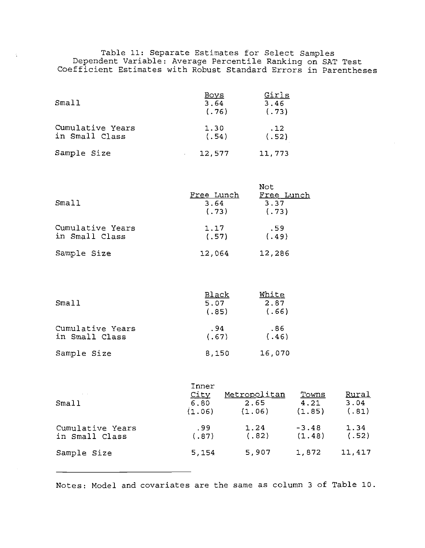Table 11: Separate Estimates for Select Samples<br>Dependent Variable: Average Percentile Ranking on SAT Test<br>Coefficient Estimates with Robust Standard Errors in Parentheses

| Small                              | <u>Boys</u><br>3.64<br>(.76) | Girls<br>3.46<br>(.73) |
|------------------------------------|------------------------------|------------------------|
| Cumulative Years<br>in Small Class | 1.30<br>(.54)                | .12<br>(.52)           |
| Sample Size                        | 12,577                       | 11,773                 |

 $\mathbf{r}$ 

|                                    | Not                         |                             |  |  |  |
|------------------------------------|-----------------------------|-----------------------------|--|--|--|
| Small                              | Free Lunch<br>3.64<br>(.73) | Free Lunch<br>3.37<br>(.73) |  |  |  |
| Cumulative Years<br>in Small Class | 1.17<br>(.57)               | .59<br>(.49)                |  |  |  |
| Sample Size                        | 12,064                      | 12,286                      |  |  |  |

| Small                              | <u>Black</u><br>5.07<br>(.85) | White<br>2.87<br>(.66) |
|------------------------------------|-------------------------------|------------------------|
| Cumulative Years<br>in Small Class | . 94<br>(.67)                 | .86<br>(.46)           |
| Sample Size                        | 8,150                         | 16,070                 |

| $\mathcal{L}=\mathcal{L}$<br>Small | Inner<br>City<br>6.80<br>(1.06) | Metropolitan<br>2.65<br>(1.06) | Towns<br>4.21<br>(1.85) | Rural<br>3.04<br>(.81) |
|------------------------------------|---------------------------------|--------------------------------|-------------------------|------------------------|
| Cumulative Years<br>in Small Class | .99<br>(.87)                    | 1.24<br>(.82)                  | $-3.48$<br>(1.48)       | 1.34<br>(.52)          |
| Sample Size                        | 5,154                           | 5,907                          | 1,872                   | 11,417                 |

Notes: Model and covariates are the same as column 3 of Table 10.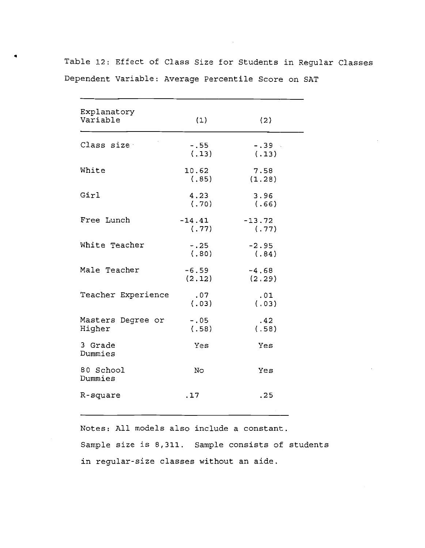| Explanatory<br>Variable     | (1)               | (2)               |
|-----------------------------|-------------------|-------------------|
| Class size                  | $-1.55$<br>(.13)  | $-.39-.$<br>(.13) |
| White                       | 10.62<br>(.85)    | 7.58<br>(1.28)    |
| Girl                        | 4.23<br>(.70)     | 3.96<br>(.66)     |
| Free Lunch                  | $-14.41$<br>(.77) | $-13.72$<br>(.77) |
| White Teacher               | $-.25$<br>(.80)   | $-2.95$<br>(.84)  |
| Male Teacher                | $-6.59$<br>(2.12) | $-4.68$<br>(2.29) |
| Teacher Experience          | .07<br>(.03)      | .01<br>(.03)      |
| Masters Degree or<br>Higher | $-0.05$<br>(.58)  | .42<br>(.58)      |
| 3 Grade<br>Dummies          | Yes               | Yes               |
| 80 School<br>Dummies        | No                | Yes               |
| R-square                    | .17               | .25               |

Table 12: Effect of Class Size for Students in Regular Classes Dependent Variable: Average Percentile Score on SAT

Notes: All models also include a constant. Sample size is 8,311. Sample consists of students in regular-size classes without an aide.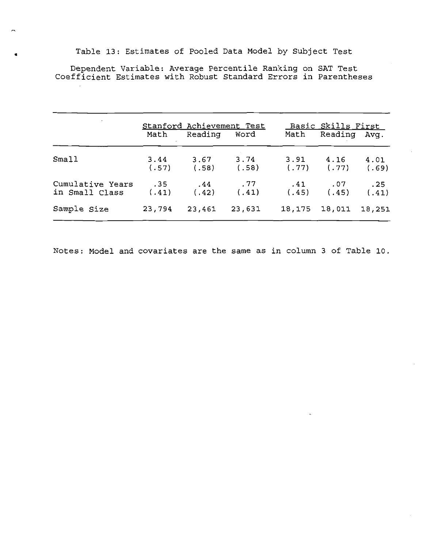### Table 13: Estimates of Pooled Data Model by Subject Test

Dependent Variable: Average Percentile Ranking on SAT Test<br>Coefficient Estimates with Robust Standard Errors in Parentheses

|                                          |        | Stanford Achievement Test               |              |     | Basic Skills First                       |                 |
|------------------------------------------|--------|-----------------------------------------|--------------|-----|------------------------------------------|-----------------|
|                                          |        | Math Reading Word                       |              |     | Math Reading Avq.                        |                 |
| Small                                    | (.57)  | $3.44$ $3.67$ $3.74$<br>$(.58)$ $(.58)$ |              |     | $3.91$ $4.16$<br>$(.77)$ $(.77)$ $(.69)$ | 4.01            |
| Cumulative Years<br>in Small Class (.41) | .35    | .44<br>( .42)                           | .77<br>(.41) | .41 | .07<br>$(.45)$ $(.45)$ $(.41)$           | $\overline{25}$ |
| Sample Size                              | 23,794 | 23,461                                  | 23,631       |     | 18,175 18,011                            | 18,251          |

Notes: Model and covariates are the same as in column 3 of Table 10.